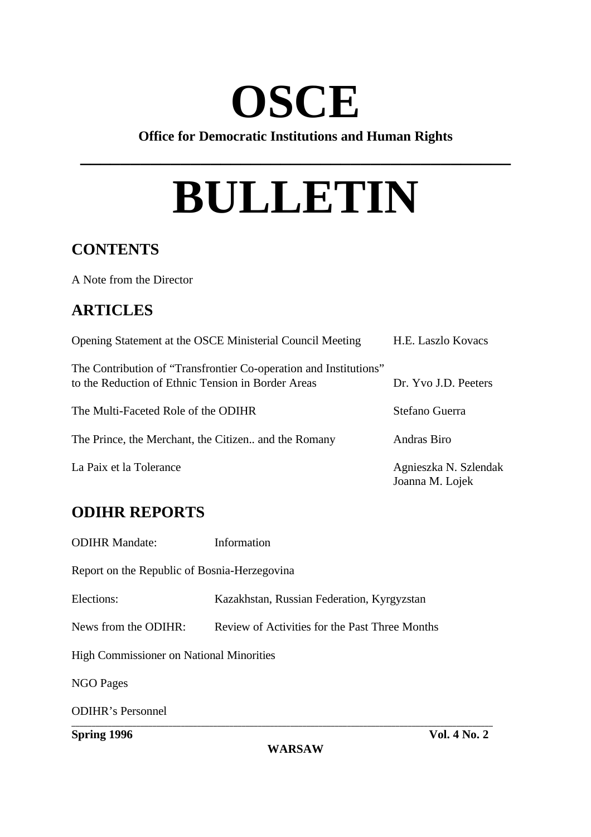## **OSCE**

**Office for Democratic Institutions and Human Rights**

**\_\_\_\_\_\_\_\_\_\_\_\_\_\_\_\_\_\_\_\_\_\_\_\_\_\_\_\_\_\_\_\_\_\_\_\_\_\_\_\_\_\_\_**

# **BULLETIN**

## **CONTENTS**

A Note from the Director

## **ARTICLES**

| Opening Statement at the OSCE Ministerial Council Meeting                                                               | H.E. Laszlo Kovacs                       |
|-------------------------------------------------------------------------------------------------------------------------|------------------------------------------|
| The Contribution of "Transfrontier Co-operation and Institutions"<br>to the Reduction of Ethnic Tension in Border Areas | Dr. Yvo J.D. Peeters                     |
| The Multi-Faceted Role of the ODIHR                                                                                     | Stefano Guerra                           |
| The Prince, the Merchant, the Citizen and the Romany                                                                    | Andras Biro                              |
| La Paix et la Tolerance                                                                                                 | Agnieszka N. Szlendak<br>Joanna M. Lojek |

## **ODIHR REPORTS**

ODIHR Mandate: Information Report on the Republic of Bosnia-Herzegovina Elections: Kazakhstan, Russian Federation, Kyrgyzstan News from the ODIHR: Review of Activities for the Past Three Months High Commissioner on National Minorities NGO Pages ODIHR's Personnel **\_\_\_\_\_\_\_\_\_\_\_\_\_\_\_\_\_\_\_\_\_\_\_\_\_\_\_\_\_\_\_\_\_\_\_\_\_\_\_\_\_\_\_\_\_\_\_\_\_\_\_\_\_\_\_\_\_\_\_\_\_\_\_\_\_\_\_\_\_\_\_\_\_\_\_\_\_\_\_\_\_\_\_\_\_\_\_\_\_\_\_\_\_\_\_\_\_\_\_\_\_\_\_\_**

**WARSAW**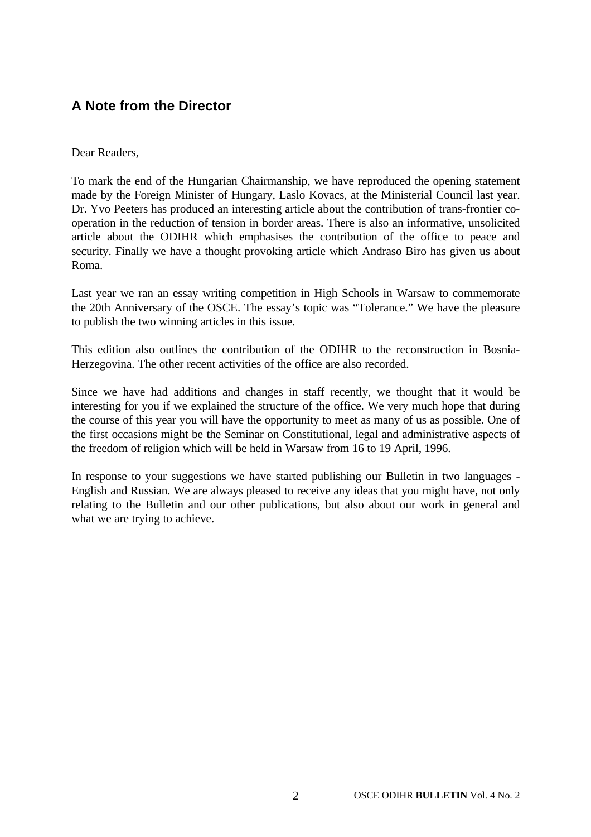## **A Note from the Director**

#### Dear Readers,

To mark the end of the Hungarian Chairmanship, we have reproduced the opening statement made by the Foreign Minister of Hungary, Laslo Kovacs, at the Ministerial Council last year. Dr. Yvo Peeters has produced an interesting article about the contribution of trans-frontier cooperation in the reduction of tension in border areas. There is also an informative, unsolicited article about the ODIHR which emphasises the contribution of the office to peace and security. Finally we have a thought provoking article which Andraso Biro has given us about Roma.

Last year we ran an essay writing competition in High Schools in Warsaw to commemorate the 20th Anniversary of the OSCE. The essay's topic was "Tolerance." We have the pleasure to publish the two winning articles in this issue.

This edition also outlines the contribution of the ODIHR to the reconstruction in Bosnia-Herzegovina. The other recent activities of the office are also recorded.

Since we have had additions and changes in staff recently, we thought that it would be interesting for you if we explained the structure of the office. We very much hope that during the course of this year you will have the opportunity to meet as many of us as possible. One of the first occasions might be the Seminar on Constitutional, legal and administrative aspects of the freedom of religion which will be held in Warsaw from 16 to 19 April, 1996.

In response to your suggestions we have started publishing our Bulletin in two languages - English and Russian. We are always pleased to receive any ideas that you might have, not only relating to the Bulletin and our other publications, but also about our work in general and what we are trying to achieve.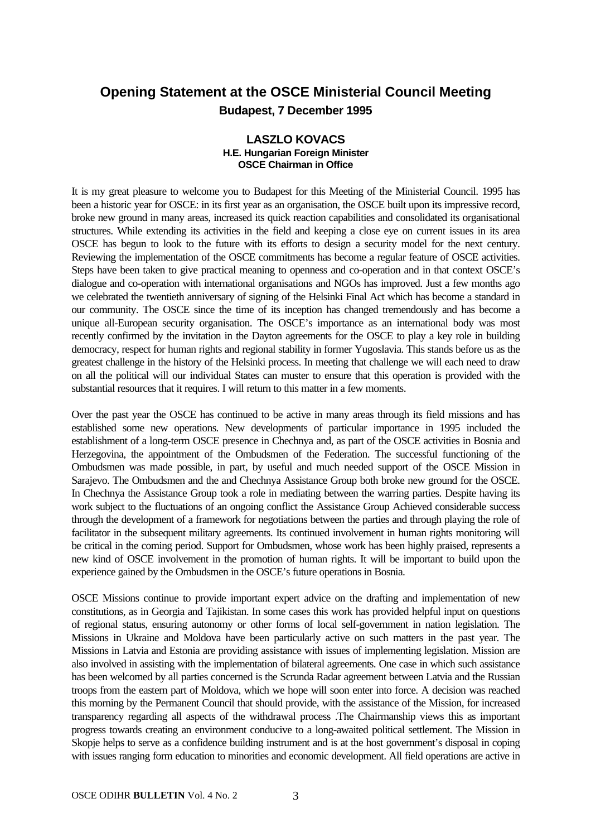## **Opening Statement at the OSCE Ministerial Council Meeting Budapest, 7 December 1995**

#### **LASZLO KOVACS H.E. Hungarian Foreign Minister OSCE Chairman in Office**

It is my great pleasure to welcome you to Budapest for this Meeting of the Ministerial Council. 1995 has been a historic year for OSCE: in its first year as an organisation, the OSCE built upon its impressive record, broke new ground in many areas, increased its quick reaction capabilities and consolidated its organisational structures. While extending its activities in the field and keeping a close eye on current issues in its area OSCE has begun to look to the future with its efforts to design a security model for the next century. Reviewing the implementation of the OSCE commitments has become a regular feature of OSCE activities. Steps have been taken to give practical meaning to openness and co-operation and in that context OSCE's dialogue and co-operation with international organisations and NGOs has improved. Just a few months ago we celebrated the twentieth anniversary of signing of the Helsinki Final Act which has become a standard in our community. The OSCE since the time of its inception has changed tremendously and has become a unique all-European security organisation. The OSCE's importance as an international body was most recently confirmed by the invitation in the Dayton agreements for the OSCE to play a key role in building democracy, respect for human rights and regional stability in former Yugoslavia. This stands before us as the greatest challenge in the history of the Helsinki process. In meeting that challenge we will each need to draw on all the political will our individual States can muster to ensure that this operation is provided with the substantial resources that it requires. I will return to this matter in a few moments.

Over the past year the OSCE has continued to be active in many areas through its field missions and has established some new operations. New developments of particular importance in 1995 included the establishment of a long-term OSCE presence in Chechnya and, as part of the OSCE activities in Bosnia and Herzegovina, the appointment of the Ombudsmen of the Federation. The successful functioning of the Ombudsmen was made possible, in part, by useful and much needed support of the OSCE Mission in Sarajevo. The Ombudsmen and the and Chechnya Assistance Group both broke new ground for the OSCE. In Chechnya the Assistance Group took a role in mediating between the warring parties. Despite having its work subject to the fluctuations of an ongoing conflict the Assistance Group Achieved considerable success through the development of a framework for negotiations between the parties and through playing the role of facilitator in the subsequent military agreements. Its continued involvement in human rights monitoring will be critical in the coming period. Support for Ombudsmen, whose work has been highly praised, represents a new kind of OSCE involvement in the promotion of human rights. It will be important to build upon the experience gained by the Ombudsmen in the OSCE's future operations in Bosnia.

OSCE Missions continue to provide important expert advice on the drafting and implementation of new constitutions, as in Georgia and Tajikistan. In some cases this work has provided helpful input on questions of regional status, ensuring autonomy or other forms of local self-government in nation legislation. The Missions in Ukraine and Moldova have been particularly active on such matters in the past year. The Missions in Latvia and Estonia are providing assistance with issues of implementing legislation. Mission are also involved in assisting with the implementation of bilateral agreements. One case in which such assistance has been welcomed by all parties concerned is the Scrunda Radar agreement between Latvia and the Russian troops from the eastern part of Moldova, which we hope will soon enter into force. A decision was reached this morning by the Permanent Council that should provide, with the assistance of the Mission, for increased transparency regarding all aspects of the withdrawal process .The Chairmanship views this as important progress towards creating an environment conducive to a long-awaited political settlement. The Mission in Skopje helps to serve as a confidence building instrument and is at the host government's disposal in coping with issues ranging form education to minorities and economic development. All field operations are active in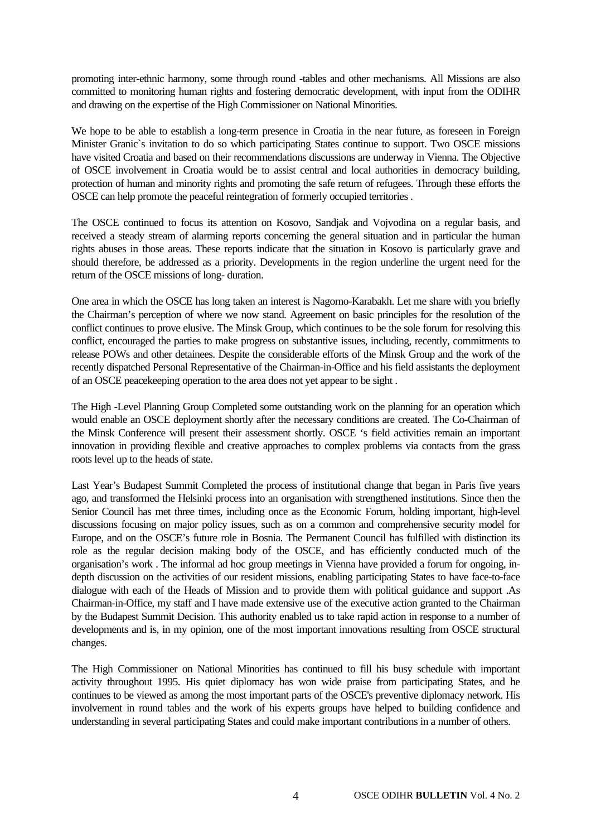promoting inter-ethnic harmony, some through round -tables and other mechanisms. All Missions are also committed to monitoring human rights and fostering democratic development, with input from the ODIHR and drawing on the expertise of the High Commissioner on National Minorities.

We hope to be able to establish a long-term presence in Croatia in the near future, as foreseen in Foreign Minister Granic`s invitation to do so which participating States continue to support. Two OSCE missions have visited Croatia and based on their recommendations discussions are underway in Vienna. The Objective of OSCE involvement in Croatia would be to assist central and local authorities in democracy building, protection of human and minority rights and promoting the safe return of refugees. Through these efforts the OSCE can help promote the peaceful reintegration of formerly occupied territories .

The OSCE continued to focus its attention on Kosovo, Sandjak and Vojvodina on a regular basis, and received a steady stream of alarming reports concerning the general situation and in particular the human rights abuses in those areas. These reports indicate that the situation in Kosovo is particularly grave and should therefore, be addressed as a priority. Developments in the region underline the urgent need for the return of the OSCE missions of long- duration.

One area in which the OSCE has long taken an interest is Nagorno-Karabakh. Let me share with you briefly the Chairman's perception of where we now stand. Agreement on basic principles for the resolution of the conflict continues to prove elusive. The Minsk Group, which continues to be the sole forum for resolving this conflict, encouraged the parties to make progress on substantive issues, including, recently, commitments to release POWs and other detainees. Despite the considerable efforts of the Minsk Group and the work of the recently dispatched Personal Representative of the Chairman-in-Office and his field assistants the deployment of an OSCE peacekeeping operation to the area does not yet appear to be sight .

The High -Level Planning Group Completed some outstanding work on the planning for an operation which would enable an OSCE deployment shortly after the necessary conditions are created. The Co-Chairman of the Minsk Conference will present their assessment shortly. OSCE 's field activities remain an important innovation in providing flexible and creative approaches to complex problems via contacts from the grass roots level up to the heads of state.

Last Year's Budapest Summit Completed the process of institutional change that began in Paris five years ago, and transformed the Helsinki process into an organisation with strengthened institutions. Since then the Senior Council has met three times, including once as the Economic Forum, holding important, high-level discussions focusing on major policy issues, such as on a common and comprehensive security model for Europe, and on the OSCE's future role in Bosnia. The Permanent Council has fulfilled with distinction its role as the regular decision making body of the OSCE, and has efficiently conducted much of the organisation's work . The informal ad hoc group meetings in Vienna have provided a forum for ongoing, indepth discussion on the activities of our resident missions, enabling participating States to have face-to-face dialogue with each of the Heads of Mission and to provide them with political guidance and support .As Chairman-in-Office, my staff and I have made extensive use of the executive action granted to the Chairman by the Budapest Summit Decision. This authority enabled us to take rapid action in response to a number of developments and is, in my opinion, one of the most important innovations resulting from OSCE structural changes.

The High Commissioner on National Minorities has continued to fill his busy schedule with important activity throughout 1995. His quiet diplomacy has won wide praise from participating States, and he continues to be viewed as among the most important parts of the OSCE's preventive diplomacy network. His involvement in round tables and the work of his experts groups have helped to building confidence and understanding in several participating States and could make important contributions in a number of others.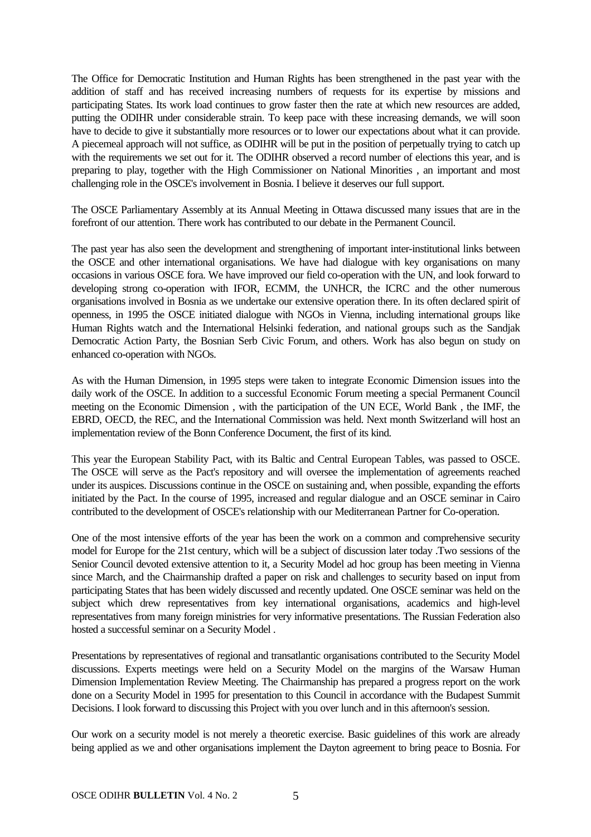The Office for Democratic Institution and Human Rights has been strengthened in the past year with the addition of staff and has received increasing numbers of requests for its expertise by missions and participating States. Its work load continues to grow faster then the rate at which new resources are added, putting the ODIHR under considerable strain. To keep pace with these increasing demands, we will soon have to decide to give it substantially more resources or to lower our expectations about what it can provide. A piecemeal approach will not suffice, as ODIHR will be put in the position of perpetually trying to catch up with the requirements we set out for it. The ODIHR observed a record number of elections this year, and is preparing to play, together with the High Commissioner on National Minorities , an important and most challenging role in the OSCE's involvement in Bosnia. I believe it deserves our full support.

The OSCE Parliamentary Assembly at its Annual Meeting in Ottawa discussed many issues that are in the forefront of our attention. There work has contributed to our debate in the Permanent Council.

The past year has also seen the development and strengthening of important inter-institutional links between the OSCE and other international organisations. We have had dialogue with key organisations on many occasions in various OSCE fora. We have improved our field co-operation with the UN, and look forward to developing strong co-operation with IFOR, ECMM, the UNHCR, the ICRC and the other numerous organisations involved in Bosnia as we undertake our extensive operation there. In its often declared spirit of openness, in 1995 the OSCE initiated dialogue with NGOs in Vienna, including international groups like Human Rights watch and the International Helsinki federation, and national groups such as the Sandjak Democratic Action Party, the Bosnian Serb Civic Forum, and others. Work has also begun on study on enhanced co-operation with NGOs.

As with the Human Dimension, in 1995 steps were taken to integrate Economic Dimension issues into the daily work of the OSCE. In addition to a successful Economic Forum meeting a special Permanent Council meeting on the Economic Dimension , with the participation of the UN ECE, World Bank , the IMF, the EBRD, OECD, the REC, and the International Commission was held. Next month Switzerland will host an implementation review of the Bonn Conference Document, the first of its kind.

This year the European Stability Pact, with its Baltic and Central European Tables, was passed to OSCE. The OSCE will serve as the Pact's repository and will oversee the implementation of agreements reached under its auspices. Discussions continue in the OSCE on sustaining and, when possible, expanding the efforts initiated by the Pact. In the course of 1995, increased and regular dialogue and an OSCE seminar in Cairo contributed to the development of OSCE's relationship with our Mediterranean Partner for Co-operation.

One of the most intensive efforts of the year has been the work on a common and comprehensive security model for Europe for the 21st century, which will be a subject of discussion later today .Two sessions of the Senior Council devoted extensive attention to it, a Security Model ad hoc group has been meeting in Vienna since March, and the Chairmanship drafted a paper on risk and challenges to security based on input from participating States that has been widely discussed and recently updated. One OSCE seminar was held on the subject which drew representatives from key international organisations, academics and high-level representatives from many foreign ministries for very informative presentations. The Russian Federation also hosted a successful seminar on a Security Model .

Presentations by representatives of regional and transatlantic organisations contributed to the Security Model discussions. Experts meetings were held on a Security Model on the margins of the Warsaw Human Dimension Implementation Review Meeting. The Chairmanship has prepared a progress report on the work done on a Security Model in 1995 for presentation to this Council in accordance with the Budapest Summit Decisions. I look forward to discussing this Project with you over lunch and in this afternoon's session.

Our work on a security model is not merely a theoretic exercise. Basic guidelines of this work are already being applied as we and other organisations implement the Dayton agreement to bring peace to Bosnia. For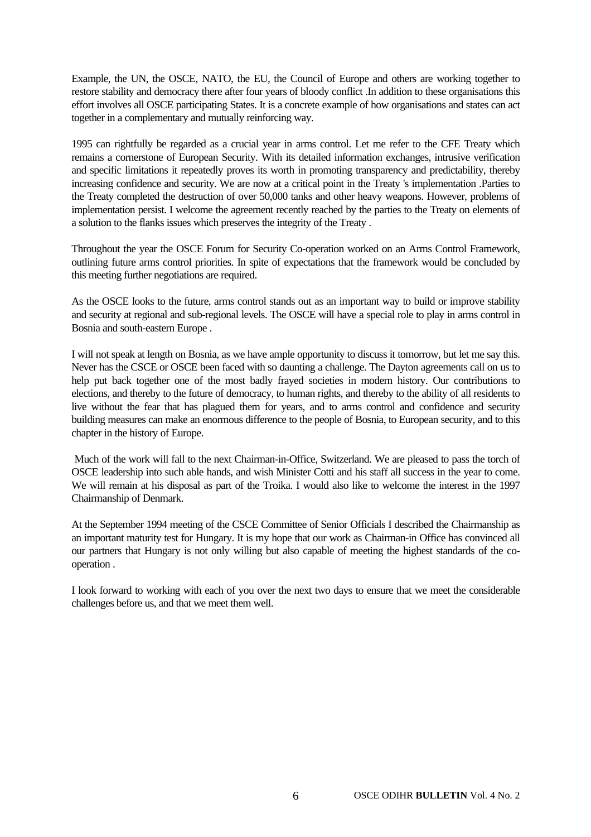Example, the UN, the OSCE, NATO, the EU, the Council of Europe and others are working together to restore stability and democracy there after four years of bloody conflict .In addition to these organisations this effort involves all OSCE participating States. It is a concrete example of how organisations and states can act together in a complementary and mutually reinforcing way.

1995 can rightfully be regarded as a crucial year in arms control. Let me refer to the CFE Treaty which remains a cornerstone of European Security. With its detailed information exchanges, intrusive verification and specific limitations it repeatedly proves its worth in promoting transparency and predictability, thereby increasing confidence and security. We are now at a critical point in the Treaty 's implementation .Parties to the Treaty completed the destruction of over 50,000 tanks and other heavy weapons. However, problems of implementation persist. I welcome the agreement recently reached by the parties to the Treaty on elements of a solution to the flanks issues which preserves the integrity of the Treaty .

Throughout the year the OSCE Forum for Security Co-operation worked on an Arms Control Framework, outlining future arms control priorities. In spite of expectations that the framework would be concluded by this meeting further negotiations are required.

As the OSCE looks to the future, arms control stands out as an important way to build or improve stability and security at regional and sub-regional levels. The OSCE will have a special role to play in arms control in Bosnia and south-eastern Europe .

I will not speak at length on Bosnia, as we have ample opportunity to discuss it tomorrow, but let me say this. Never has the CSCE or OSCE been faced with so daunting a challenge. The Dayton agreements call on us to help put back together one of the most badly frayed societies in modern history. Our contributions to elections, and thereby to the future of democracy, to human rights, and thereby to the ability of all residents to live without the fear that has plagued them for years, and to arms control and confidence and security building measures can make an enormous difference to the people of Bosnia, to European security, and to this chapter in the history of Europe.

 Much of the work will fall to the next Chairman-in-Office, Switzerland. We are pleased to pass the torch of OSCE leadership into such able hands, and wish Minister Cotti and his staff all success in the year to come. We will remain at his disposal as part of the Troika. I would also like to welcome the interest in the 1997 Chairmanship of Denmark.

At the September 1994 meeting of the CSCE Committee of Senior Officials I described the Chairmanship as an important maturity test for Hungary. It is my hope that our work as Chairman-in Office has convinced all our partners that Hungary is not only willing but also capable of meeting the highest standards of the cooperation .

I look forward to working with each of you over the next two days to ensure that we meet the considerable challenges before us, and that we meet them well.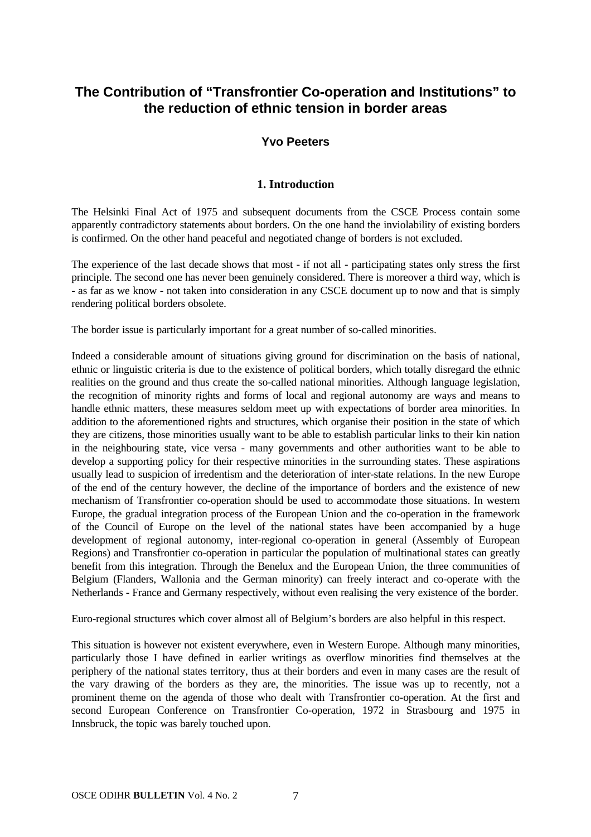## **The Contribution of "Transfrontier Co-operation and Institutions" to the reduction of ethnic tension in border areas**

#### **Yvo Peeters**

#### **1. Introduction**

The Helsinki Final Act of 1975 and subsequent documents from the CSCE Process contain some apparently contradictory statements about borders. On the one hand the inviolability of existing borders is confirmed. On the other hand peaceful and negotiated change of borders is not excluded.

The experience of the last decade shows that most - if not all - participating states only stress the first principle. The second one has never been genuinely considered. There is moreover a third way, which is - as far as we know - not taken into consideration in any CSCE document up to now and that is simply rendering political borders obsolete.

The border issue is particularly important for a great number of so-called minorities.

Indeed a considerable amount of situations giving ground for discrimination on the basis of national, ethnic or linguistic criteria is due to the existence of political borders, which totally disregard the ethnic realities on the ground and thus create the so-called national minorities. Although language legislation, the recognition of minority rights and forms of local and regional autonomy are ways and means to handle ethnic matters, these measures seldom meet up with expectations of border area minorities. In addition to the aforementioned rights and structures, which organise their position in the state of which they are citizens, those minorities usually want to be able to establish particular links to their kin nation in the neighbouring state, vice versa - many governments and other authorities want to be able to develop a supporting policy for their respective minorities in the surrounding states. These aspirations usually lead to suspicion of irredentism and the deterioration of inter-state relations. In the new Europe of the end of the century however, the decline of the importance of borders and the existence of new mechanism of Transfrontier co-operation should be used to accommodate those situations. In western Europe, the gradual integration process of the European Union and the co-operation in the framework of the Council of Europe on the level of the national states have been accompanied by a huge development of regional autonomy, inter-regional co-operation in general (Assembly of European Regions) and Transfrontier co-operation in particular the population of multinational states can greatly benefit from this integration. Through the Benelux and the European Union, the three communities of Belgium (Flanders, Wallonia and the German minority) can freely interact and co-operate with the Netherlands - France and Germany respectively, without even realising the very existence of the border.

Euro-regional structures which cover almost all of Belgium's borders are also helpful in this respect.

This situation is however not existent everywhere, even in Western Europe. Although many minorities, particularly those I have defined in earlier writings as overflow minorities find themselves at the periphery of the national states territory, thus at their borders and even in many cases are the result of the vary drawing of the borders as they are, the minorities. The issue was up to recently, not a prominent theme on the agenda of those who dealt with Transfrontier co-operation. At the first and second European Conference on Transfrontier Co-operation, 1972 in Strasbourg and 1975 in Innsbruck, the topic was barely touched upon.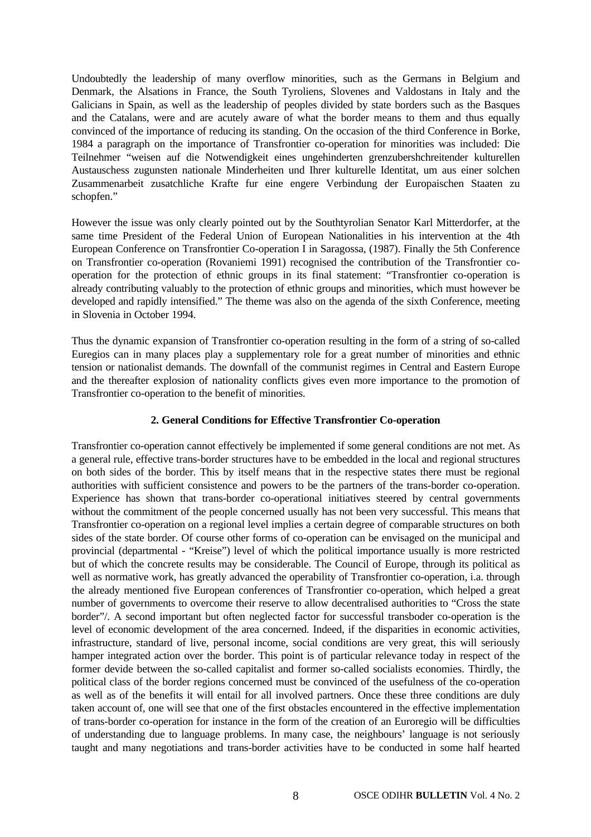Undoubtedly the leadership of many overflow minorities, such as the Germans in Belgium and Denmark, the Alsations in France, the South Tyroliens, Slovenes and Valdostans in Italy and the Galicians in Spain, as well as the leadership of peoples divided by state borders such as the Basques and the Catalans, were and are acutely aware of what the border means to them and thus equally convinced of the importance of reducing its standing. On the occasion of the third Conference in Borke, 1984 a paragraph on the importance of Transfrontier co-operation for minorities was included: Die Teilnehmer "weisen auf die Notwendigkeit eines ungehinderten grenzubershchreitender kulturellen Austauschess zugunsten nationale Minderheiten und Ihrer kulturelle Identitat, um aus einer solchen Zusammenarbeit zusatchliche Krafte fur eine engere Verbindung der Europaischen Staaten zu schopfen."

However the issue was only clearly pointed out by the Southtyrolian Senator Karl Mitterdorfer, at the same time President of the Federal Union of European Nationalities in his intervention at the 4th European Conference on Transfrontier Co-operation I in Saragossa, (1987). Finally the 5th Conference on Transfrontier co-operation (Rovaniemi 1991) recognised the contribution of the Transfrontier cooperation for the protection of ethnic groups in its final statement: "Transfrontier co-operation is already contributing valuably to the protection of ethnic groups and minorities, which must however be developed and rapidly intensified." The theme was also on the agenda of the sixth Conference, meeting in Slovenia in October 1994.

Thus the dynamic expansion of Transfrontier co-operation resulting in the form of a string of so-called Euregios can in many places play a supplementary role for a great number of minorities and ethnic tension or nationalist demands. The downfall of the communist regimes in Central and Eastern Europe and the thereafter explosion of nationality conflicts gives even more importance to the promotion of Transfrontier co-operation to the benefit of minorities.

#### **2. General Conditions for Effective Transfrontier Co-operation**

Transfrontier co-operation cannot effectively be implemented if some general conditions are not met. As a general rule, effective trans-border structures have to be embedded in the local and regional structures on both sides of the border. This by itself means that in the respective states there must be regional authorities with sufficient consistence and powers to be the partners of the trans-border co-operation. Experience has shown that trans-border co-operational initiatives steered by central governments without the commitment of the people concerned usually has not been very successful. This means that Transfrontier co-operation on a regional level implies a certain degree of comparable structures on both sides of the state border. Of course other forms of co-operation can be envisaged on the municipal and provincial (departmental - "Kreise") level of which the political importance usually is more restricted but of which the concrete results may be considerable. The Council of Europe, through its political as well as normative work, has greatly advanced the operability of Transfrontier co-operation, i.a. through the already mentioned five European conferences of Transfrontier co-operation, which helped a great number of governments to overcome their reserve to allow decentralised authorities to "Cross the state border"/. A second important but often neglected factor for successful transboder co-operation is the level of economic development of the area concerned. Indeed, if the disparities in economic activities, infrastructure, standard of live, personal income, social conditions are very great, this will seriously hamper integrated action over the border. This point is of particular relevance today in respect of the former devide between the so-called capitalist and former so-called socialists economies. Thirdly, the political class of the border regions concerned must be convinced of the usefulness of the co-operation as well as of the benefits it will entail for all involved partners. Once these three conditions are duly taken account of, one will see that one of the first obstacles encountered in the effective implementation of trans-border co-operation for instance in the form of the creation of an Euroregio will be difficulties of understanding due to language problems. In many case, the neighbours' language is not seriously taught and many negotiations and trans-border activities have to be conducted in some half hearted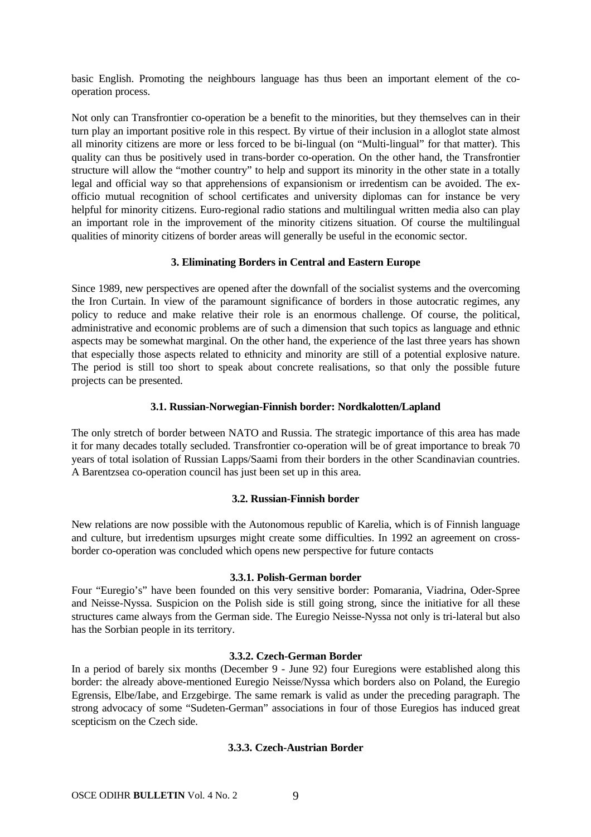basic English. Promoting the neighbours language has thus been an important element of the cooperation process.

Not only can Transfrontier co-operation be a benefit to the minorities, but they themselves can in their turn play an important positive role in this respect. By virtue of their inclusion in a alloglot state almost all minority citizens are more or less forced to be bi-lingual (on "Multi-lingual" for that matter). This quality can thus be positively used in trans-border co-operation. On the other hand, the Transfrontier structure will allow the "mother country" to help and support its minority in the other state in a totally legal and official way so that apprehensions of expansionism or irredentism can be avoided. The exofficio mutual recognition of school certificates and university diplomas can for instance be very helpful for minority citizens. Euro-regional radio stations and multilingual written media also can play an important role in the improvement of the minority citizens situation. Of course the multilingual qualities of minority citizens of border areas will generally be useful in the economic sector.

#### **3. Eliminating Borders in Central and Eastern Europe**

Since 1989, new perspectives are opened after the downfall of the socialist systems and the overcoming the Iron Curtain. In view of the paramount significance of borders in those autocratic regimes, any policy to reduce and make relative their role is an enormous challenge. Of course, the political, administrative and economic problems are of such a dimension that such topics as language and ethnic aspects may be somewhat marginal. On the other hand, the experience of the last three years has shown that especially those aspects related to ethnicity and minority are still of a potential explosive nature. The period is still too short to speak about concrete realisations, so that only the possible future projects can be presented.

#### **3.1. Russian-Norwegian-Finnish border: Nordkalotten/Lapland**

The only stretch of border between NATO and Russia. The strategic importance of this area has made it for many decades totally secluded. Transfrontier co-operation will be of great importance to break 70 years of total isolation of Russian Lapps/Saami from their borders in the other Scandinavian countries. A Barentzsea co-operation council has just been set up in this area.

#### **3.2. Russian-Finnish border**

New relations are now possible with the Autonomous republic of Karelia, which is of Finnish language and culture, but irredentism upsurges might create some difficulties. In 1992 an agreement on crossborder co-operation was concluded which opens new perspective for future contacts

#### **3.3.1. Polish-German border**

Four "Euregio's" have been founded on this very sensitive border: Pomarania, Viadrina, Oder-Spree and Neisse-Nyssa. Suspicion on the Polish side is still going strong, since the initiative for all these structures came always from the German side. The Euregio Neisse-Nyssa not only is tri-lateral but also has the Sorbian people in its territory.

#### **3.3.2. Czech-German Border**

In a period of barely six months (December 9 - June 92) four Euregions were established along this border: the already above-mentioned Euregio Neisse/Nyssa which borders also on Poland, the Euregio Egrensis, Elbe/Iabe, and Erzgebirge. The same remark is valid as under the preceding paragraph. The strong advocacy of some "Sudeten-German" associations in four of those Euregios has induced great scepticism on the Czech side.

#### **3.3.3. Czech-Austrian Border**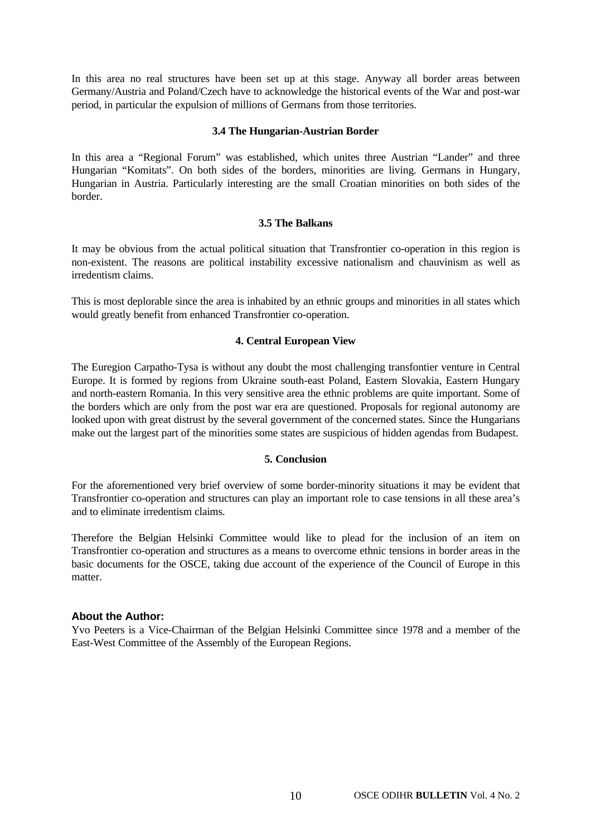In this area no real structures have been set up at this stage. Anyway all border areas between Germany/Austria and Poland/Czech have to acknowledge the historical events of the War and post-war period, in particular the expulsion of millions of Germans from those territories.

#### **3.4 The Hungarian-Austrian Border**

In this area a "Regional Forum" was established, which unites three Austrian "Lander" and three Hungarian "Komitats". On both sides of the borders, minorities are living. Germans in Hungary, Hungarian in Austria. Particularly interesting are the small Croatian minorities on both sides of the border.

#### **3.5 The Balkans**

It may be obvious from the actual political situation that Transfrontier co-operation in this region is non-existent. The reasons are political instability excessive nationalism and chauvinism as well as irredentism claims.

This is most deplorable since the area is inhabited by an ethnic groups and minorities in all states which would greatly benefit from enhanced Transfrontier co-operation.

#### **4. Central European View**

The Euregion Carpatho-Tysa is without any doubt the most challenging transfontier venture in Central Europe. It is formed by regions from Ukraine south-east Poland, Eastern Slovakia, Eastern Hungary and north-eastern Romania. In this very sensitive area the ethnic problems are quite important. Some of the borders which are only from the post war era are questioned. Proposals for regional autonomy are looked upon with great distrust by the several government of the concerned states. Since the Hungarians make out the largest part of the minorities some states are suspicious of hidden agendas from Budapest.

#### **5. Conclusion**

For the aforementioned very brief overview of some border-minority situations it may be evident that Transfrontier co-operation and structures can play an important role to case tensions in all these area's and to eliminate irredentism claims.

Therefore the Belgian Helsinki Committee would like to plead for the inclusion of an item on Transfrontier co-operation and structures as a means to overcome ethnic tensions in border areas in the basic documents for the OSCE, taking due account of the experience of the Council of Europe in this matter.

#### **About the Author:**

Yvo Peeters is a Vice-Chairman of the Belgian Helsinki Committee since 1978 and a member of the East-West Committee of the Assembly of the European Regions.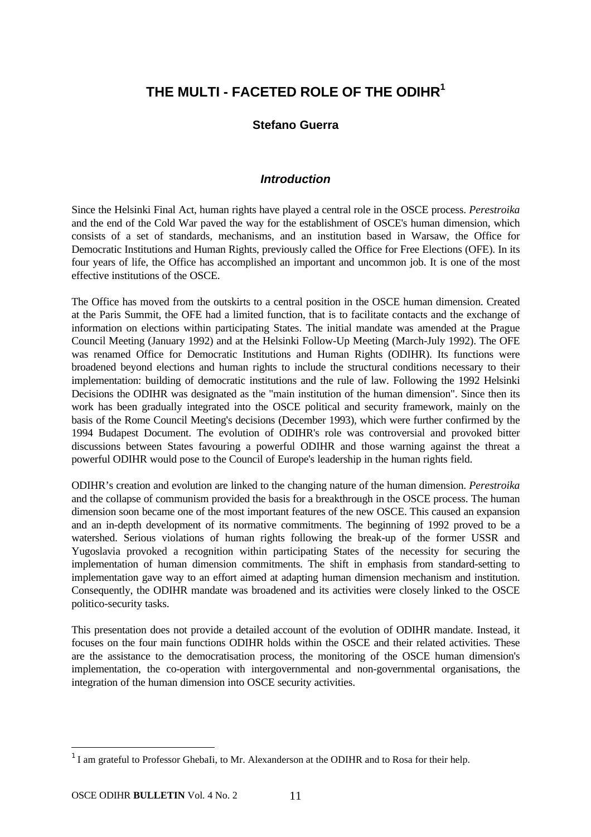## **THE MULTI - FACETED ROLE OF THE ODIHR<sup>1</sup>**

#### **Stefano Guerra**

#### *Introduction*

Since the Helsinki Final Act, human rights have played a central role in the OSCE process. *Perestroika* and the end of the Cold War paved the way for the establishment of OSCE's human dimension, which consists of a set of standards, mechanisms, and an institution based in Warsaw, the Office for Democratic Institutions and Human Rights, previously called the Office for Free Elections (OFE). In its four years of life, the Office has accomplished an important and uncommon job. It is one of the most effective institutions of the OSCE.

The Office has moved from the outskirts to a central position in the OSCE human dimension. Created at the Paris Summit, the OFE had a limited function, that is to facilitate contacts and the exchange of information on elections within participating States. The initial mandate was amended at the Prague Council Meeting (January 1992) and at the Helsinki Follow-Up Meeting (March-July 1992). The OFE was renamed Office for Democratic Institutions and Human Rights (ODIHR). Its functions were broadened beyond elections and human rights to include the structural conditions necessary to their implementation: building of democratic institutions and the rule of law. Following the 1992 Helsinki Decisions the ODIHR was designated as the "main institution of the human dimension". Since then its work has been gradually integrated into the OSCE political and security framework, mainly on the basis of the Rome Council Meeting's decisions (December 1993), which were further confirmed by the 1994 Budapest Document. The evolution of ODIHR's role was controversial and provoked bitter discussions between States favouring a powerful ODIHR and those warning against the threat a powerful ODIHR would pose to the Council of Europe's leadership in the human rights field.

ODIHR's creation and evolution are linked to the changing nature of the human dimension. *Perestroika* and the collapse of communism provided the basis for a breakthrough in the OSCE process. The human dimension soon became one of the most important features of the new OSCE. This caused an expansion and an in-depth development of its normative commitments. The beginning of 1992 proved to be a watershed. Serious violations of human rights following the break-up of the former USSR and Yugoslavia provoked a recognition within participating States of the necessity for securing the implementation of human dimension commitments. The shift in emphasis from standard-setting to implementation gave way to an effort aimed at adapting human dimension mechanism and institution. Consequently, the ODIHR mandate was broadened and its activities were closely linked to the OSCE politico-security tasks.

This presentation does not provide a detailed account of the evolution of ODIHR mandate. Instead, it focuses on the four main functions ODIHR holds within the OSCE and their related activities. These are the assistance to the democratisation process, the monitoring of the OSCE human dimension's implementation, the co-operation with intergovernmental and non-governmental organisations, the integration of the human dimension into OSCE security activities.

<sup>&</sup>lt;sup>1</sup> I am grateful to Professor GhebaIi, to Mr. Alexanderson at the ODIHR and to Rosa for their help.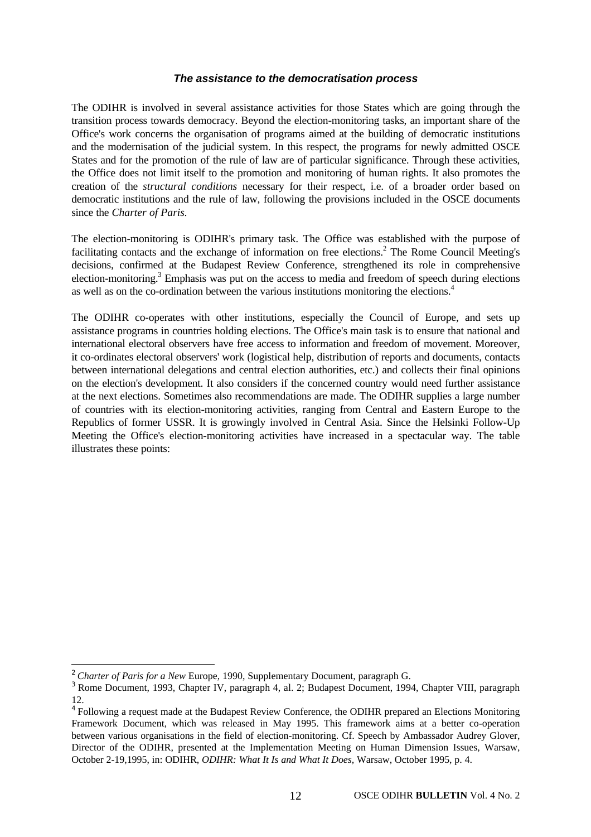#### *The assistance to the democratisation process*

The ODIHR is involved in several assistance activities for those States which are going through the transition process towards democracy. Beyond the election-monitoring tasks, an important share of the Office's work concerns the organisation of programs aimed at the building of democratic institutions and the modernisation of the judicial system. In this respect, the programs for newly admitted OSCE States and for the promotion of the rule of law are of particular significance. Through these activities, the Office does not limit itself to the promotion and monitoring of human rights. It also promotes the creation of the *structural conditions* necessary for their respect, i.e. of a broader order based on democratic institutions and the rule of law, following the provisions included in the OSCE documents since the *Charter of Paris.*

The election-monitoring is ODIHR's primary task. The Office was established with the purpose of facilitating contacts and the exchange of information on free elections.<sup>2</sup> The Rome Council Meeting's decisions, confirmed at the Budapest Review Conference, strengthened its role in comprehensive election-monitoring.<sup>3</sup> Emphasis was put on the access to media and freedom of speech during elections as well as on the co-ordination between the various institutions monitoring the elections.<sup>4</sup>

The ODIHR co-operates with other institutions, especially the Council of Europe, and sets up assistance programs in countries holding elections. The Office's main task is to ensure that national and international electoral observers have free access to information and freedom of movement. Moreover, it co-ordinates electoral observers' work (logistical help, distribution of reports and documents, contacts between international delegations and central election authorities, etc.) and collects their final opinions on the election's development. It also considers if the concerned country would need further assistance at the next elections. Sometimes also recommendations are made. The ODIHR supplies a large number of countries with its election-monitoring activities, ranging from Central and Eastern Europe to the Republics of former USSR. It is growingly involved in Central Asia. Since the Helsinki Follow-Up Meeting the Office's election-monitoring activities have increased in a spectacular way. The table illustrates these points:

<sup>2</sup> *Charter of Paris for a New* Europe, 1990, Supplementary Document, paragraph G.

<sup>3</sup> Rome Document, 1993, Chapter IV, paragraph 4, al. 2; Budapest Document, 1994, Chapter VIII, paragraph 12.

<sup>&</sup>lt;sup>4</sup> Following a request made at the Budapest Review Conference, the ODIHR prepared an Elections Monitoring Framework Document, which was released in May 1995. This framework aims at a better co-operation between various organisations in the field of election-monitoring. Cf. Speech by Ambassador Audrey Glover, Director of the ODIHR, presented at the Implementation Meeting on Human Dimension Issues, Warsaw, October 2-19,1995, in: ODIHR, *ODIHR: What It Is and What It Does,* Warsaw, October 1995, p. 4.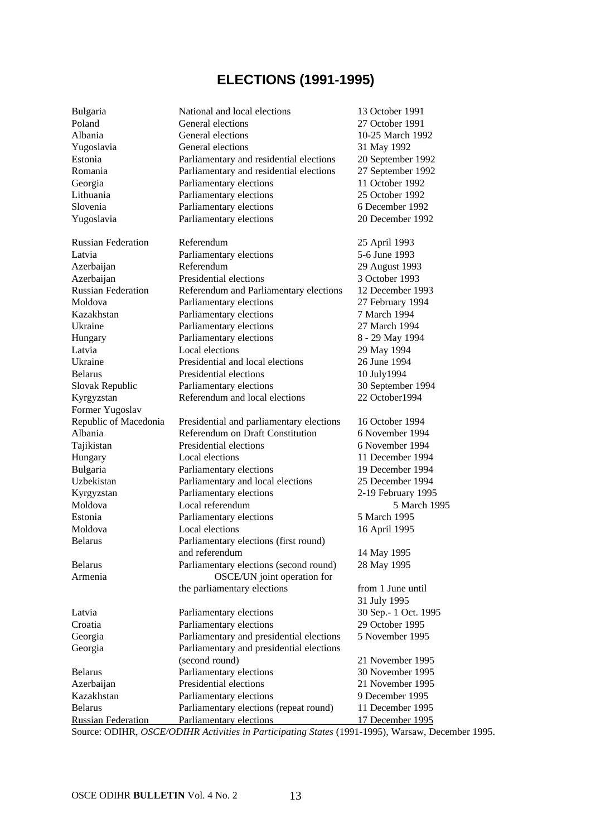## **ELECTIONS (1991-1995)**

| Bulgaria                  | National and local elections             | 13 October 1991       |
|---------------------------|------------------------------------------|-----------------------|
| Poland                    | General elections                        | 27 October 1991       |
| Albania                   | General elections                        | 10-25 March 1992      |
| Yugoslavia                | General elections                        | 31 May 1992           |
| Estonia                   | Parliamentary and residential elections  | 20 September 1992     |
| Romania                   | Parliamentary and residential elections  | 27 September 1992     |
| Georgia                   | Parliamentary elections                  | 11 October 1992       |
| Lithuania                 | Parliamentary elections                  | 25 October 1992       |
| Slovenia                  | Parliamentary elections                  | 6 December 1992       |
| Yugoslavia                | Parliamentary elections                  | 20 December 1992      |
|                           |                                          |                       |
| <b>Russian Federation</b> | Referendum                               | 25 April 1993         |
| Latvia                    | Parliamentary elections                  | 5-6 June 1993         |
| Azerbaijan                | Referendum                               | 29 August 1993        |
| Azerbaijan                | Presidential elections                   | 3 October 1993        |
| <b>Russian Federation</b> | Referendum and Parliamentary elections   | 12 December 1993      |
| Moldova                   | Parliamentary elections                  | 27 February 1994      |
| Kazakhstan                | Parliamentary elections                  | 7 March 1994          |
| Ukraine                   | Parliamentary elections                  | 27 March 1994         |
| Hungary                   | Parliamentary elections                  | 8 - 29 May 1994       |
| Latvia                    | Local elections                          | 29 May 1994           |
| Ukraine                   | Presidential and local elections         | 26 June 1994          |
| <b>Belarus</b>            | Presidential elections                   | 10 July 1994          |
| Slovak Republic           | Parliamentary elections                  | 30 September 1994     |
| Kyrgyzstan                | Referendum and local elections           | 22 October1994        |
| Former Yugoslav           |                                          |                       |
| Republic of Macedonia     | Presidential and parliamentary elections | 16 October 1994       |
| Albania                   | <b>Referendum on Draft Constitution</b>  | 6 November 1994       |
| Tajikistan                | Presidential elections                   | 6 November 1994       |
| Hungary                   | Local elections                          | 11 December 1994      |
| Bulgaria                  | Parliamentary elections                  | 19 December 1994      |
| Uzbekistan                | Parliamentary and local elections        | 25 December 1994      |
| Kyrgyzstan                | Parliamentary elections                  | 2-19 February 1995    |
| Moldova                   | Local referendum                         | 5 March 1995          |
| Estonia                   | Parliamentary elections                  | 5 March 1995          |
| Moldova                   | Local elections                          | 16 April 1995         |
| <b>Belarus</b>            | Parliamentary elections (first round)    |                       |
|                           | and referendum                           | 14 May 1995           |
| <b>Belarus</b>            | Parliamentary elections (second round)   | 28 May 1995           |
| Armenia                   | OSCE/UN joint operation for              |                       |
|                           | the parliamentary elections              | from 1 June until     |
|                           |                                          | 31 July 1995          |
| Latvia                    | Parliamentary elections                  | 30 Sep. - 1 Oct. 1995 |
| Croatia                   | Parliamentary elections                  | 29 October 1995       |
| Georgia                   | Parliamentary and presidential elections | 5 November 1995       |
| Georgia                   | Parliamentary and presidential elections |                       |
|                           | (second round)                           | 21 November 1995      |
| <b>Belarus</b>            | Parliamentary elections                  | 30 November 1995      |
| Azerbaijan                | Presidential elections                   | 21 November 1995      |
| Kazakhstan                | Parliamentary elections                  | 9 December 1995       |
| <b>Belarus</b>            | Parliamentary elections (repeat round)   | 11 December 1995      |
| <b>Russian Federation</b> | Parliamentary elections                  | 17 December 1995      |

Source: ODIHR, *OSCE/ODIHR Activities in Participating States* (1991-1995), Warsaw, December 1995.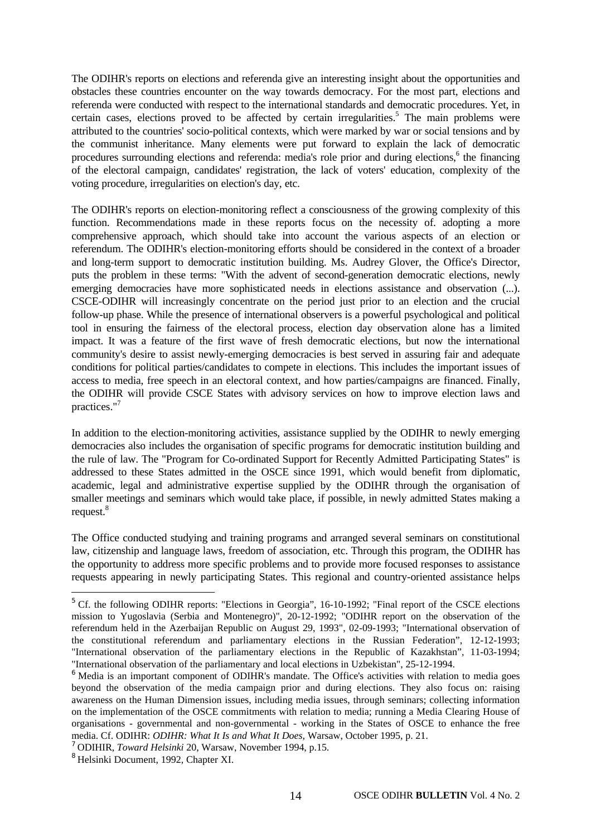The ODIHR's reports on elections and referenda give an interesting insight about the opportunities and obstacles these countries encounter on the way towards democracy. For the most part, elections and referenda were conducted with respect to the international standards and democratic procedures. Yet, in certain cases, elections proved to be affected by certain irregularities.<sup>5</sup> The main problems were attributed to the countries' socio-political contexts, which were marked by war or social tensions and by the communist inheritance. Many elements were put forward to explain the lack of democratic procedures surrounding elections and referenda: media's role prior and during elections,<sup>6</sup> the financing of the electoral campaign, candidates' registration, the lack of voters' education, complexity of the voting procedure, irregularities on election's day, etc.

The ODIHR's reports on election-monitoring reflect a consciousness of the growing complexity of this function. Recommendations made in these reports focus on the necessity of. adopting a more comprehensive approach, which should take into account the various aspects of an election or referendum. The ODIHR's election-monitoring efforts should be considered in the context of a broader and long-term support to democratic institution building. Ms. Audrey Glover, the Office's Director, puts the problem in these terms: "With the advent of second-generation democratic elections, newly emerging democracies have more sophisticated needs in elections assistance and observation (...). CSCE-ODIHR will increasingly concentrate on the period just prior to an election and the crucial follow-up phase. While the presence of international observers is a powerful psychological and political tool in ensuring the fairness of the electoral process, election day observation alone has a limited impact. It was a feature of the first wave of fresh democratic elections, but now the international community's desire to assist newly-emerging democracies is best served in assuring fair and adequate conditions for political parties/candidates to compete in elections. This includes the important issues of access to media, free speech in an electoral context, and how parties/campaigns are financed. Finally, the ODIHR will provide CSCE States with advisory services on how to improve election laws and practices."<sup>7</sup>

In addition to the election-monitoring activities, assistance supplied by the ODIHR to newly emerging democracies also includes the organisation of specific programs for democratic institution building and the rule of law. The "Program for Co-ordinated Support for Recently Admitted Participating States" is addressed to these States admitted in the OSCE since 1991, which would benefit from diplomatic, academic, legal and administrative expertise supplied by the ODIHR through the organisation of smaller meetings and seminars which would take place, if possible, in newly admitted States making a request.<sup>8</sup>

The Office conducted studying and training programs and arranged several seminars on constitutional law, citizenship and language laws, freedom of association, etc. Through this program, the ODIHR has the opportunity to address more specific problems and to provide more focused responses to assistance requests appearing in newly participating States. This regional and country-oriented assistance helps

<sup>&</sup>lt;sup>5</sup> Cf. the following ODIHR reports: "Elections in Georgia", 16-10-1992; "Final report of the CSCE elections mission to Yugoslavia (Serbia and Montenegro)", 20-12-1992; "ODIHR report on the observation of the referendum held in the Azerbaijan Republic on August 29, 1993", 02-09-1993; "International observation of the constitutional referendum and parliamentary elections in the Russian Federation", 12-12-1993; "International observation of the parliamentary elections in the Republic of Kazakhstan", 11-03-1994; "International observation of the parliamentary and local elections in Uzbekistan", 25-12-1994.

<sup>&</sup>lt;sup>6</sup> Media is an important component of ODIHR's mandate. The Office's activities with relation to media goes beyond the observation of the media campaign prior and during elections. They also focus on: raising awareness on the Human Dimension issues, including media issues, through seminars; collecting information on the implementation of the OSCE commitments with relation to media; running a Media Clearing House of organisations - governmental and non-governmental - working in the States of OSCE to enhance the free media. Cf. ODIHR: *ODIHR: What It Is and What It Does*, Warsaw, October 1995, p. 21.

<sup>7</sup> ODIHIR, *Toward Helsinki* 20, Warsaw, November 1994, p.15.

<sup>8</sup> Helsinki Document, 1992, Chapter XI.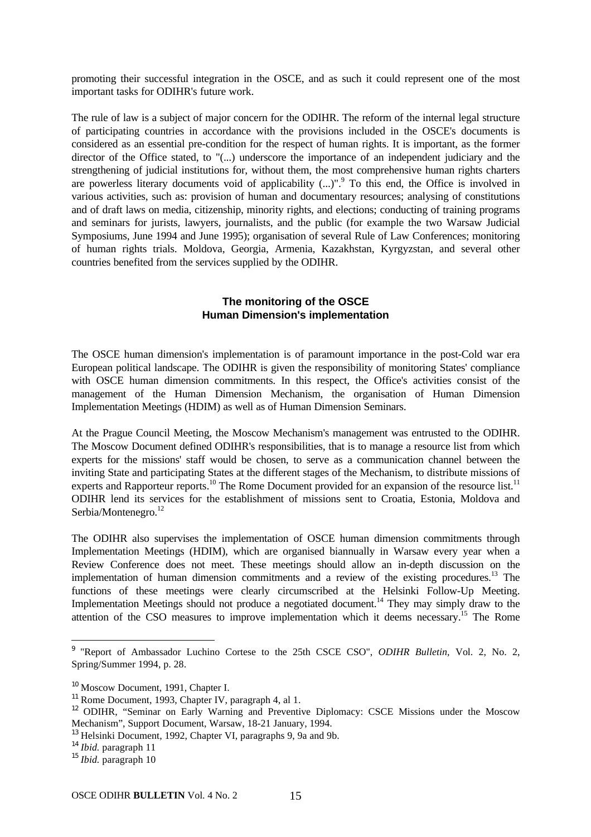promoting their successful integration in the OSCE, and as such it could represent one of the most important tasks for ODIHR's future work.

The rule of law is a subject of major concern for the ODIHR. The reform of the internal legal structure of participating countries in accordance with the provisions included in the OSCE's documents is considered as an essential pre-condition for the respect of human rights. It is important, as the former director of the Office stated, to "(...) underscore the importance of an independent judiciary and the strengthening of judicial institutions for, without them, the most comprehensive human rights charters are powerless literary documents void of applicability (...)".<sup>9</sup> To this end, the Office is involved in various activities, such as: provision of human and documentary resources; analysing of constitutions and of draft laws on media, citizenship, minority rights, and elections; conducting of training programs and seminars for jurists, lawyers, journalists, and the public (for example the two Warsaw Judicial Symposiums, June 1994 and June 1995); organisation of several Rule of Law Conferences; monitoring of human rights trials. Moldova, Georgia, Armenia, Kazakhstan, Kyrgyzstan, and several other countries benefited from the services supplied by the ODIHR.

#### **The monitoring of the OSCE Human Dimension's implementation**

The OSCE human dimension's implementation is of paramount importance in the post-Cold war era European political landscape. The ODIHR is given the responsibility of monitoring States' compliance with OSCE human dimension commitments. In this respect, the Office's activities consist of the management of the Human Dimension Mechanism, the organisation of Human Dimension Implementation Meetings (HDIM) as well as of Human Dimension Seminars.

At the Prague Council Meeting, the Moscow Mechanism's management was entrusted to the ODIHR. The Moscow Document defined ODIHR's responsibilities, that is to manage a resource list from which experts for the missions' staff would be chosen, to serve as a communication channel between the inviting State and participating States at the different stages of the Mechanism, to distribute missions of experts and Rapporteur reports.<sup>10</sup> The Rome Document provided for an expansion of the resource list.<sup>11</sup> ODIHR lend its services for the establishment of missions sent to Croatia, Estonia, Moldova and Serbia/Montenegro.<sup>12</sup>

The ODIHR also supervises the implementation of OSCE human dimension commitments through Implementation Meetings (HDIM), which are organised biannually in Warsaw every year when a Review Conference does not meet. These meetings should allow an in-depth discussion on the implementation of human dimension commitments and a review of the existing procedures.<sup>13</sup> The functions of these meetings were clearly circumscribed at the Helsinki Follow-Up Meeting. Implementation Meetings should not produce a negotiated document.<sup>14</sup> They may simply draw to the attention of the CSO measures to improve implementation which it deems necessary.<sup>15</sup> The Rome

<sup>14</sup> *Ibid.* paragraph 11

<sup>9</sup> "Report of Ambassador Luchino Cortese to the 25th CSCE CSO", *ODIHR Bulletin,* Vol. 2, No. 2, Spring/Summer 1994, p. 28.

<sup>&</sup>lt;sup>10</sup> Moscow Document, 1991, Chapter I.

<sup>&</sup>lt;sup>11</sup> Rome Document, 1993, Chapter IV, paragraph 4, al 1.

<sup>&</sup>lt;sup>12</sup> ODIHR, "Seminar on Early Warning and Preventive Diplomacy: CSCE Missions under the Moscow Mechanism", Support Document, Warsaw, 18-21 January, 1994.

<sup>&</sup>lt;sup>13</sup> Helsinki Document, 1992, Chapter VI, paragraphs 9, 9a and 9b.

<sup>15</sup> *Ibid.* paragraph 10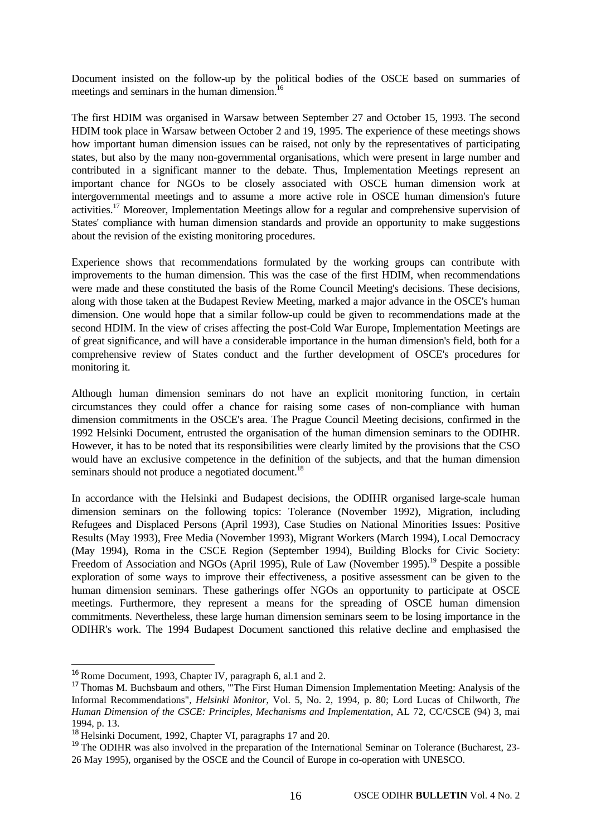Document insisted on the follow-up by the political bodies of the OSCE based on summaries of meetings and seminars in the human dimension.<sup>16</sup>

The first HDIM was organised in Warsaw between September 27 and October 15, 1993. The second HDIM took place in Warsaw between October 2 and 19, 1995. The experience of these meetings shows how important human dimension issues can be raised, not only by the representatives of participating states, but also by the many non-governmental organisations, which were present in large number and contributed in a significant manner to the debate. Thus, Implementation Meetings represent an important chance for NGOs to be closely associated with OSCE human dimension work at intergovernmental meetings and to assume a more active role in OSCE human dimension's future activities.<sup>17</sup> Moreover, Implementation Meetings allow for a regular and comprehensive supervision of States' compliance with human dimension standards and provide an opportunity to make suggestions about the revision of the existing monitoring procedures.

Experience shows that recommendations formulated by the working groups can contribute with improvements to the human dimension. This was the case of the first HDIM, when recommendations were made and these constituted the basis of the Rome Council Meeting's decisions. These decisions, along with those taken at the Budapest Review Meeting, marked a major advance in the OSCE's human dimension. One would hope that a similar follow-up could be given to recommendations made at the second HDIM. In the view of crises affecting the post-Cold War Europe, Implementation Meetings are of great significance, and will have a considerable importance in the human dimension's field, both for a comprehensive review of States conduct and the further development of OSCE's procedures for monitoring it.

Although human dimension seminars do not have an explicit monitoring function, in certain circumstances they could offer a chance for raising some cases of non-compliance with human dimension commitments in the OSCE's area. The Prague Council Meeting decisions, confirmed in the 1992 Helsinki Document, entrusted the organisation of the human dimension seminars to the ODIHR. However, it has to be noted that its responsibilities were clearly limited by the provisions that the CSO would have an exclusive competence in the definition of the subjects, and that the human dimension seminars should not produce a negotiated document.<sup>18</sup>

In accordance with the Helsinki and Budapest decisions, the ODIHR organised large-scale human dimension seminars on the following topics: Tolerance (November 1992), Migration, including Refugees and Displaced Persons (April 1993), Case Studies on National Minorities Issues: Positive Results (May 1993), Free Media (November 1993), Migrant Workers (March 1994), Local Democracy (May 1994), Roma in the CSCE Region (September 1994), Building Blocks for Civic Society: Freedom of Association and NGOs (April 1995), Rule of Law (November 1995).<sup>19</sup> Despite a possible exploration of some ways to improve their effectiveness, a positive assessment can be given to the human dimension seminars. These gatherings offer NGOs an opportunity to participate at OSCE meetings. Furthermore, they represent a means for the spreading of OSCE human dimension commitments. Nevertheless, these large human dimension seminars seem to be losing importance in the ODIHR's work. The 1994 Budapest Document sanctioned this relative decline and emphasised the

<sup>&</sup>lt;sup>16</sup> Rome Document, 1993, Chapter IV, paragraph 6, al.1 and 2.

<sup>&</sup>lt;sup>17</sup> Thomas M. Buchsbaum and others, "The First Human Dimension Implementation Meeting: Analysis of the Informal Recommendations", *Helsinki Monitor*, Vol. 5, No. 2, 1994, p. 80; Lord Lucas of Chilworth*, The Human Dimension of the CSCE: Principles, Mechanisms and Implementation*, AL 72, CC/CSCE (94) 3, mai 1994, p. 13.

<sup>&</sup>lt;sup>18</sup> Helsinki Document, 1992, Chapter VI, paragraphs 17 and 20.

<sup>&</sup>lt;sup>19</sup> The ODIHR was also involved in the preparation of the International Seminar on Tolerance (Bucharest, 23-26 May 1995), organised by the OSCE and the Council of Europe in co-operation with UNESCO.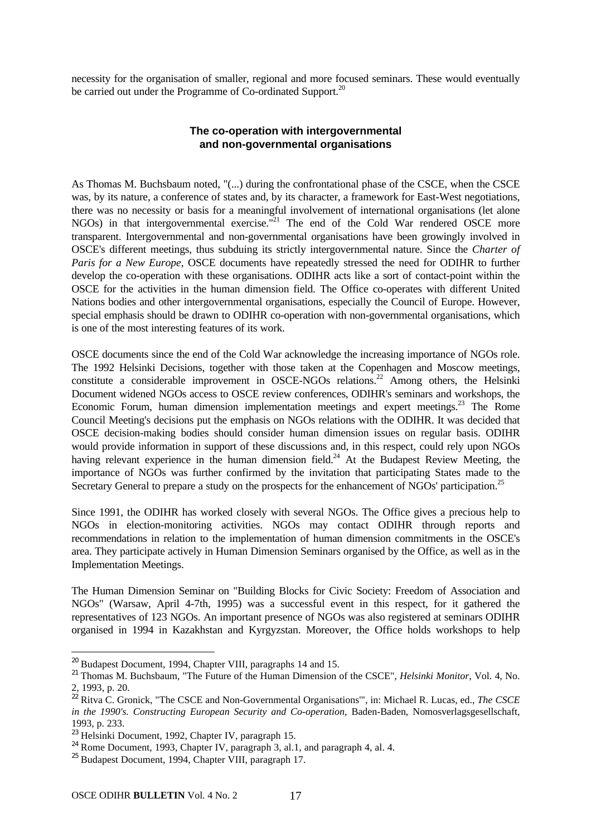necessity for the organisation of smaller, regional and more focused seminars. These would eventually be carried out under the Programme of Co-ordinated Support.<sup>20</sup>

#### **The co-operation with intergovernmental and non-governmental organisations**

As Thomas M. Buchsbaum noted, "(...) during the confrontational phase of the CSCE, when the CSCE was, by its nature, a conference of states and, by its character, a framework for East-West negotiations, there was no necessity or basis for a meaningful involvement of international organisations (let alone NGOs) in that intergovernmental exercise.<sup>"21</sup> The end of the Cold War rendered OSCE more transparent. Intergovernmental and non-governmental organisations have been growingly involved in OSCE's different meetings, thus subduing its strictly intergovernmental nature. Since the *Charter of Paris for a New Europe,* OSCE documents have repeatedly stressed the need for ODIHR to further develop the co-operation with these organisations. ODIHR acts like a sort of contact-point within the OSCE for the activities in the human dimension field. The Office co-operates with different United Nations bodies and other intergovernmental organisations, especially the Council of Europe. However, special emphasis should be drawn to ODIHR co-operation with non-governmental organisations, which is one of the most interesting features of its work.

OSCE documents since the end of the Cold War acknowledge the increasing importance of NGOs role. The 1992 Helsinki Decisions, together with those taken at the Copenhagen and Moscow meetings, constitute a considerable improvement in OSCE-NGOs relations.<sup>22</sup> Among others, the Helsinki Document widened NGOs access to OSCE review conferences, ODIHR's seminars and workshops, the Economic Forum, human dimension implementation meetings and expert meetings.<sup>23</sup> The Rome Council Meeting's decisions put the emphasis on NGOs relations with the ODIHR. It was decided that OSCE decision-making bodies should consider human dimension issues on regular basis. ODIHR would provide information in support of these discussions and, in this respect, could rely upon NGOs having relevant experience in the human dimension field.<sup>24</sup> At the Budapest Review Meeting, the importance of NGOs was further confirmed by the invitation that participating States made to the Secretary General to prepare a study on the prospects for the enhancement of NGOs' participation.<sup>25</sup>

Since 1991, the ODIHR has worked closely with several NGOs. The Office gives a precious help to NGOs in election-monitoring activities. NGOs may contact ODIHR through reports and recommendations in relation to the implementation of human dimension commitments in the OSCE's area. They participate actively in Human Dimension Seminars organised by the Office, as well as in the Implementation Meetings.

The Human Dimension Seminar on "Building Blocks for Civic Society: Freedom of Association and NGOs" (Warsaw, April 4-7th, 1995) was a successful event in this respect, for it gathered the representatives of 123 NGOs. An important presence of NGOs was also registered at seminars ODIHR organised in 1994 in Kazakhstan and Kyrgyzstan. Moreover, the Office holds workshops to help

 $20$  Budapest Document, 1994, Chapter VIII, paragraphs 14 and 15.

<sup>21</sup> Thomas M. Buchsbaum, "The Future of the Human Dimension of the CSCE", *Helsinki Monitor*, Vol. 4, No. 2, 1993, p. 20.

<sup>22</sup> Ritva C. Gronick, "The CSCE and Non-Governmental Organisations'", in: Michael R. Lucas, ed., *The CSCE in the 1990's. Constructing European Security and Co-operation*, Baden-Baden, Nomosverlagsgesellschaft, 1993, p. 233.

<sup>23</sup> Helsinki Document, 1992, Chapter IV, paragraph 15.

 $^{24}$  Rome Document, 1993, Chapter IV, paragraph 3, al.1, and paragraph 4, al. 4.

<sup>25</sup> Budapest Document, 1994, Chapter VIII, paragraph 17.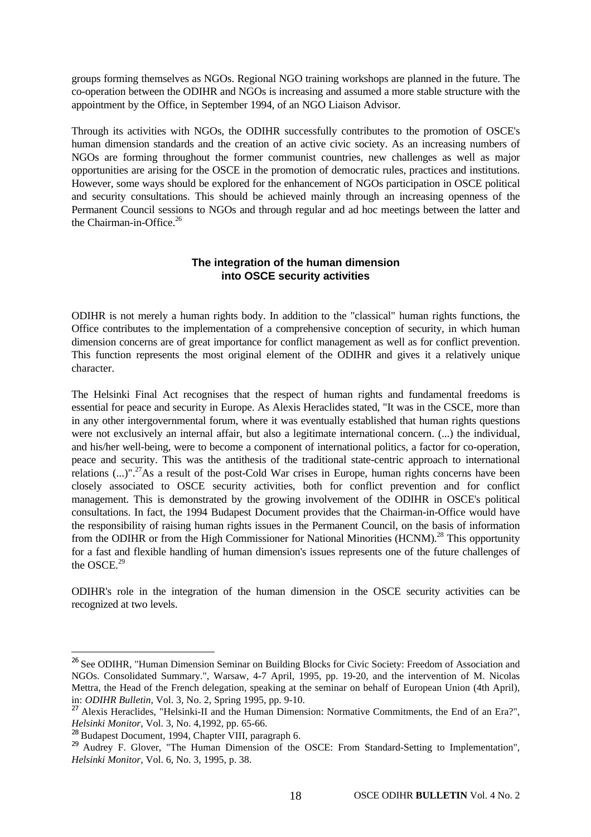groups forming themselves as NGOs. Regional NGO training workshops are planned in the future. The co-operation between the ODIHR and NGOs is increasing and assumed a more stable structure with the appointment by the Office, in September 1994, of an NGO Liaison Advisor.

Through its activities with NGOs, the ODIHR successfully contributes to the promotion of OSCE's human dimension standards and the creation of an active civic society. As an increasing numbers of NGOs are forming throughout the former communist countries, new challenges as well as major opportunities are arising for the OSCE in the promotion of democratic rules, practices and institutions. However, some ways should be explored for the enhancement of NGOs participation in OSCE political and security consultations. This should be achieved mainly through an increasing openness of the Permanent Council sessions to NGOs and through regular and ad hoc meetings between the latter and the Chairman-in-Office.<sup>26</sup>

#### **The integration of the human dimension into OSCE security activities**

ODIHR is not merely a human rights body. In addition to the "classical" human rights functions, the Office contributes to the implementation of a comprehensive conception of security, in which human dimension concerns are of great importance for conflict management as well as for conflict prevention. This function represents the most original element of the ODIHR and gives it a relatively unique character.

The Helsinki Final Act recognises that the respect of human rights and fundamental freedoms is essential for peace and security in Europe. As Alexis Heraclides stated, "It was in the CSCE, more than in any other intergovernmental forum, where it was eventually established that human rights questions were not exclusively an internal affair, but also a legitimate international concern. (...) the individual, and his/her well-being, were to become a component of international politics, a factor for co-operation, peace and security. This was the antithesis of the traditional state-centric approach to international relations  $(...)$ ".<sup>27</sup>As a result of the post-Cold War crises in Europe, human rights concerns have been closely associated to OSCE security activities, both for conflict prevention and for conflict management. This is demonstrated by the growing involvement of the ODIHR in OSCE's political consultations. In fact, the 1994 Budapest Document provides that the Chairman-in-Office would have the responsibility of raising human rights issues in the Permanent Council, on the basis of information from the ODIHR or from the High Commissioner for National Minorities (HCNM).<sup>28</sup> This opportunity for a fast and flexible handling of human dimension's issues represents one of the future challenges of the OSCE. $^{29}$ 

ODIHR's role in the integration of the human dimension in the OSCE security activities can be recognized at two levels.

<sup>&</sup>lt;sup>26</sup> See ODIHR, "Human Dimension Seminar on Building Blocks for Civic Society: Freedom of Association and NGOs. Consolidated Summary.", Warsaw, 4-7 April, 1995, pp. 19-20, and the intervention of M. Nicolas Mettra, the Head of the French delegation, speaking at the seminar on behalf of European Union (4th April), in: *ODIHR Bulletin*, Vol. 3, No. 2, Spring 1995, pp. 9-10.

<sup>&</sup>lt;sup>27</sup> Alexis Heraclides, "Helsinki-II and the Human Dimension: Normative Commitments, the End of an Era?", *Helsinki Monitor,* Vol. 3, No. 4,1992, pp. 65-66.

<sup>28</sup> Budapest Document, 1994, Chapter VIII, paragraph 6.

<sup>&</sup>lt;sup>29</sup> Audrey F. Glover, "The Human Dimension of the OSCE: From Standard-Setting to Implementation", *Helsinki Monitor,* Vol. 6, No. 3, 1995, p. 38.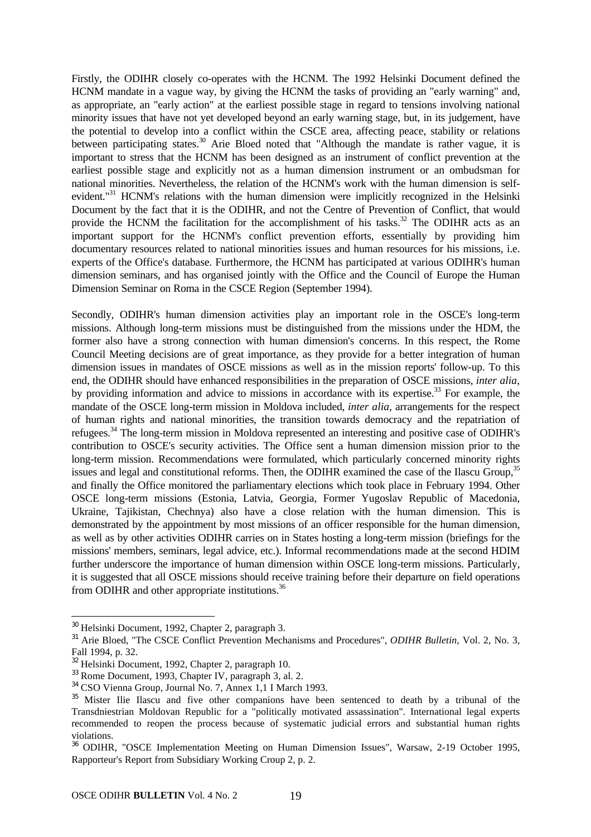Firstly, the ODIHR closely co-operates with the HCNM. The 1992 Helsinki Document defined the HCNM mandate in a vague way, by giving the HCNM the tasks of providing an "early warning" and, as appropriate, an "early action" at the earliest possible stage in regard to tensions involving national minority issues that have not yet developed beyond an early warning stage, but, in its judgement, have the potential to develop into a conflict within the CSCE area, affecting peace, stability or relations between participating states.<sup>30</sup> Arie Bloed noted that "Although the mandate is rather vague, it is important to stress that the HCNM has been designed as an instrument of conflict prevention at the earliest possible stage and explicitly not as a human dimension instrument or an ombudsman for national minorities. Nevertheless, the relation of the HCNM's work with the human dimension is selfevident."<sup>31</sup> HCNM's relations with the human dimension were implicitly recognized in the Helsinki Document by the fact that it is the ODIHR, and not the Centre of Prevention of Conflict, that would provide the HCNM the facilitation for the accomplishment of his tasks.<sup>32</sup> The ODIHR acts as an important support for the HCNM's conflict prevention efforts, essentially by providing him documentary resources related to national minorities issues and human resources for his missions, i.e. experts of the Office's database. Furthermore, the HCNM has participated at various ODIHR's human dimension seminars, and has organised jointly with the Office and the Council of Europe the Human Dimension Seminar on Roma in the CSCE Region (September 1994).

Secondly, ODIHR's human dimension activities play an important role in the OSCE's long-term missions. Although long-term missions must be distinguished from the missions under the HDM, the former also have a strong connection with human dimension's concerns. In this respect, the Rome Council Meeting decisions are of great importance, as they provide for a better integration of human dimension issues in mandates of OSCE missions as well as in the mission reports' follow-up. To this end, the ODIHR should have enhanced responsibilities in the preparation of OSCE missions, *inter alia*, by providing information and advice to missions in accordance with its expertise.<sup>33</sup> For example, the mandate of the OSCE long-term mission in Moldova included, *inter alia*, arrangements for the respect of human rights and national minorities, the transition towards democracy and the repatriation of refugees.<sup>34</sup> The long-term mission in Moldova represented an interesting and positive case of ODIHR's contribution to OSCE's security activities. The Office sent a human dimension mission prior to the long-term mission. Recommendations were formulated, which particularly concerned minority rights issues and legal and constitutional reforms. Then, the ODIHR examined the case of the Ilascu Group,<sup>35</sup> and finally the Office monitored the parliamentary elections which took place in February 1994. Other OSCE long-term missions (Estonia, Latvia, Georgia, Former Yugoslav Republic of Macedonia, Ukraine, Tajikistan, Chechnya) also have a close relation with the human dimension. This is demonstrated by the appointment by most missions of an officer responsible for the human dimension, as well as by other activities ODIHR carries on in States hosting a long-term mission (briefings for the missions' members, seminars, legal advice, etc.). Informal recommendations made at the second HDIM further underscore the importance of human dimension within OSCE long-term missions. Particularly, it is suggested that all OSCE missions should receive training before their departure on field operations from ODIHR and other appropriate institutions.<sup>36</sup>

<sup>&</sup>lt;sup>30</sup> Helsinki Document, 1992, Chapter 2, paragraph 3.

<sup>&</sup>lt;sup>31</sup> Arie Bloed, "The CSCE Conflict Prevention Mechanisms and Procedures", *ODIHR Bulletin*, Vol. 2, No. 3, Fall 1994, p. 32.

<sup>&</sup>lt;sup>32</sup> Helsinki Document, 1992, Chapter 2, paragraph 10.

<sup>33</sup> Rome Document, 1993, Chapter IV, paragraph 3, al. 2.

<sup>34</sup> CSO Vienna Group, Journal No. 7, Annex 1,1 I March 1993.

<sup>&</sup>lt;sup>35</sup> Mister Ilie Ilascu and five other companions have been sentenced to death by a tribunal of the Transdniestrian Moldovan Republic for a "politically motivated assassination". International legal experts recommended to reopen the process because of systematic judicial errors and substantial human rights violations.

<sup>36</sup> ODIHR, "OSCE Implementation Meeting on Human Dimension Issues", Warsaw, 2-19 October 1995, Rapporteur's Report from Subsidiary Working Croup 2, p. 2.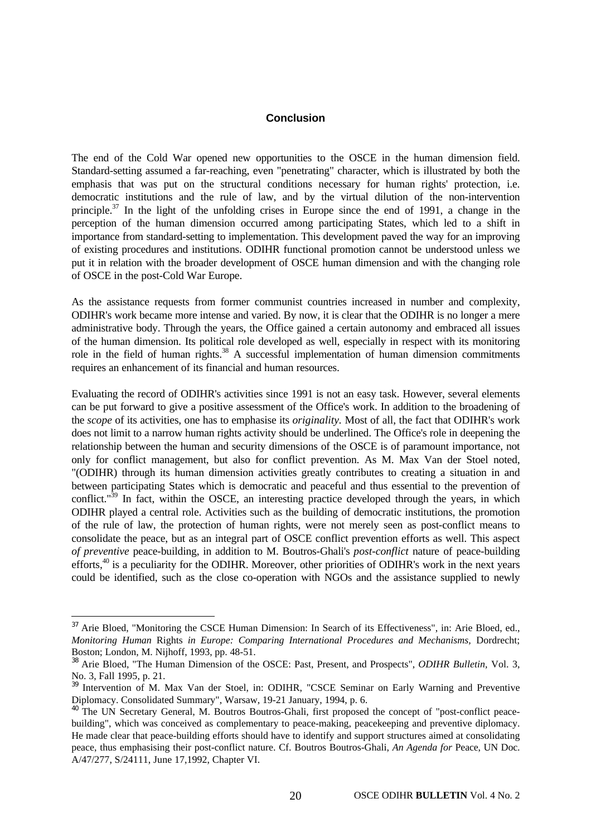#### **Conclusion**

The end of the Cold War opened new opportunities to the OSCE in the human dimension field. Standard-setting assumed a far-reaching, even "penetrating" character, which is illustrated by both the emphasis that was put on the structural conditions necessary for human rights' protection, i.e. democratic institutions and the rule of law, and by the virtual dilution of the non-intervention principle.<sup>37</sup> In the light of the unfolding crises in Europe since the end of 1991, a change in the perception of the human dimension occurred among participating States, which led to a shift in importance from standard-setting to implementation. This development paved the way for an improving of existing procedures and institutions. ODIHR functional promotion cannot be understood unless we put it in relation with the broader development of OSCE human dimension and with the changing role of OSCE in the post-Cold War Europe.

As the assistance requests from former communist countries increased in number and complexity, ODIHR's work became more intense and varied. By now, it is clear that the ODIHR is no longer a mere administrative body. Through the years, the Office gained a certain autonomy and embraced all issues of the human dimension. Its political role developed as well, especially in respect with its monitoring role in the field of human rights.<sup>38</sup> A successful implementation of human dimension commitments requires an enhancement of its financial and human resources.

Evaluating the record of ODIHR's activities since 1991 is not an easy task. However, several elements can be put forward to give a positive assessment of the Office's work. In addition to the broadening of the *scope* of its activities, one has to emphasise its *originality.* Most of all, the fact that ODIHR's work does not limit to a narrow human rights activity should be underlined. The Office's role in deepening the relationship between the human and security dimensions of the OSCE is of paramount importance, not only for conflict management, but also for conflict prevention. As M. Max Van der Stoel noted, "(ODIHR) through its human dimension activities greatly contributes to creating a situation in and between participating States which is democratic and peaceful and thus essential to the prevention of conflict." $39$  In fact, within the OSCE, an interesting practice developed through the years, in which ODIHR played a central role. Activities such as the building of democratic institutions, the promotion of the rule of law, the protection of human rights, were not merely seen as post-conflict means to consolidate the peace, but as an integral part of OSCE conflict prevention efforts as well. This aspect *of preventive* peace-building, in addition to M. Boutros-Ghali's *post-conflict* nature of peace-building efforts,<sup>40</sup> is a peculiarity for the ODIHR. Moreover, other priorities of ODIHR's work in the next years could be identified, such as the close co-operation with NGOs and the assistance supplied to newly

<sup>&</sup>lt;sup>37</sup> Arie Bloed, "Monitoring the CSCE Human Dimension: In Search of its Effectiveness", in: Arie Bloed, ed., *Monitoring Human* Rights *in Europe: Comparing International Procedures and Mechanisms,* Dordrecht; Boston; London, M. Nijhoff, 1993, pp. 48-51.

<sup>38</sup> Arie Bloed, "The Human Dimension of the OSCE: Past, Present, and Prospects", *ODIHR Bulletin,* Vol. 3, No. 3, Fall 1995, p. 21.

<sup>&</sup>lt;sup>39</sup> Intervention of M. Max Van der Stoel, in: ODIHR, "CSCE Seminar on Early Warning and Preventive Diplomacy. Consolidated Summary", Warsaw, 19-21 January, 1994, p. 6.

<sup>&</sup>lt;sup>40</sup> The UN Secretary General, M. Boutros Boutros-Ghali, first proposed the concept of "post-conflict peacebuilding", which was conceived as complementary to peace-making, peacekeeping and preventive diplomacy. He made clear that peace-building efforts should have to identify and support structures aimed at consolidating peace, thus emphasising their post-conflict nature. Cf. Boutros Boutros-Ghali, *An Agenda for* Peace, UN Doc. A/47/277, S/24111, June 17,1992, Chapter VI.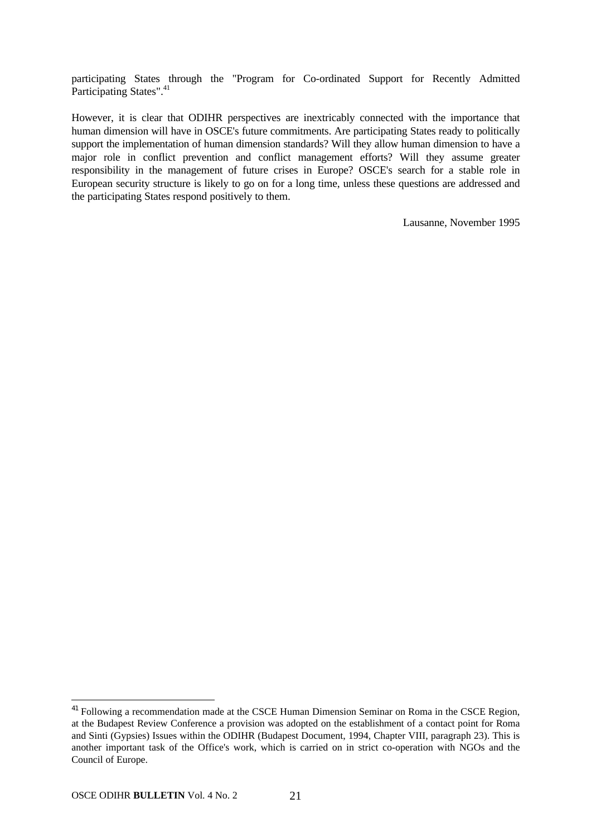participating States through the "Program for Co-ordinated Support for Recently Admitted Participating States".<sup>41</sup>

However, it is clear that ODIHR perspectives are inextricably connected with the importance that human dimension will have in OSCE's future commitments. Are participating States ready to politically support the implementation of human dimension standards? Will they allow human dimension to have a major role in conflict prevention and conflict management efforts? Will they assume greater responsibility in the management of future crises in Europe? OSCE's search for a stable role in European security structure is likely to go on for a long time, unless these questions are addressed and the participating States respond positively to them.

Lausanne, November 1995

<sup>&</sup>lt;sup>41</sup> Following a recommendation made at the CSCE Human Dimension Seminar on Roma in the CSCE Region, at the Budapest Review Conference a provision was adopted on the establishment of a contact point for Roma and Sinti (Gypsies) Issues within the ODIHR (Budapest Document, 1994, Chapter VIII, paragraph 23). This is another important task of the Office's work, which is carried on in strict co-operation with NGOs and the Council of Europe.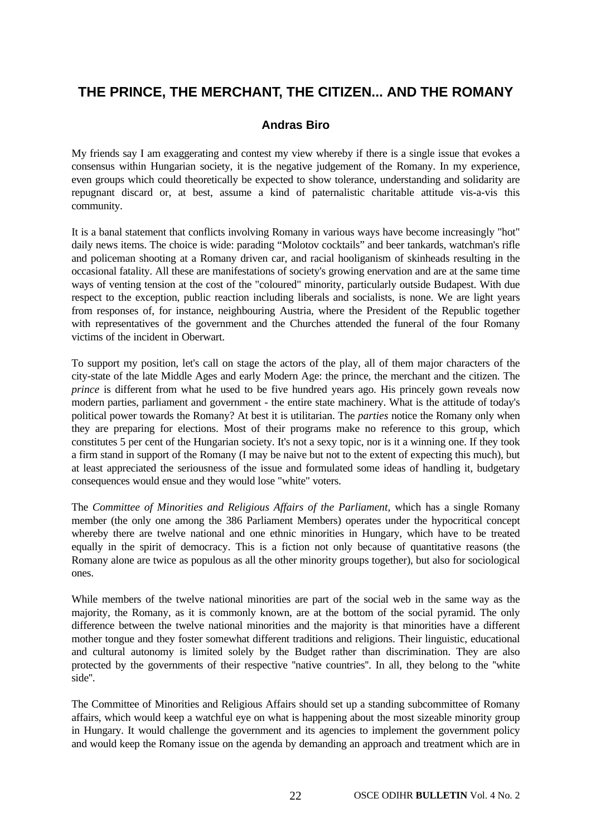## **THE PRINCE, THE MERCHANT, THE CITIZEN... AND THE ROMANY**

#### **Andras Biro**

My friends say I am exaggerating and contest my view whereby if there is a single issue that evokes a consensus within Hungarian society, it is the negative judgement of the Romany. In my experience, even groups which could theoretically be expected to show tolerance, understanding and solidarity are repugnant discard or, at best, assume a kind of paternalistic charitable attitude vis-a-vis this community.

It is a banal statement that conflicts involving Romany in various ways have become increasingly "hot" daily news items. The choice is wide: parading "Molotov cocktails" and beer tankards, watchman's rifle and policeman shooting at a Romany driven car, and racial hooliganism of skinheads resulting in the occasional fatality. All these are manifestations of society's growing enervation and are at the same time ways of venting tension at the cost of the "coloured" minority, particularly outside Budapest. With due respect to the exception, public reaction including liberals and socialists, is none. We are light years from responses of, for instance, neighbouring Austria, where the President of the Republic together with representatives of the government and the Churches attended the funeral of the four Romany victims of the incident in Oberwart.

To support my position, let's call on stage the actors of the play, all of them major characters of the city-state of the late Middle Ages and early Modern Age: the prince, the merchant and the citizen. The *prince* is different from what he used to be five hundred years ago. His princely gown reveals now modern parties, parliament and government - the entire state machinery. What is the attitude of today's political power towards the Romany? At best it is utilitarian. The *parties* notice the Romany only when they are preparing for elections. Most of their programs make no reference to this group, which constitutes 5 per cent of the Hungarian society. It's not a sexy topic, nor is it a winning one. If they took a firm stand in support of the Romany (I may be naive but not to the extent of expecting this much), but at least appreciated the seriousness of the issue and formulated some ideas of handling it, budgetary consequences would ensue and they would lose "white" voters.

The *Committee of Minorities and Religious Affairs of the Parliament*, which has a single Romany member (the only one among the 386 Parliament Members) operates under the hypocritical concept whereby there are twelve national and one ethnic minorities in Hungary, which have to be treated equally in the spirit of democracy. This is a fiction not only because of quantitative reasons (the Romany alone are twice as populous as all the other minority groups together), but also for sociological ones.

While members of the twelve national minorities are part of the social web in the same way as the majority, the Romany, as it is commonly known, are at the bottom of the social pyramid. The only difference between the twelve national minorities and the majority is that minorities have a different mother tongue and they foster somewhat different traditions and religions. Their linguistic, educational and cultural autonomy is limited solely by the Budget rather than discrimination. They are also protected by the governments of their respective ''native countries''. In all, they belong to the ''white side''.

The Committee of Minorities and Religious Affairs should set up a standing subcommittee of Romany affairs, which would keep a watchful eye on what is happening about the most sizeable minority group in Hungary. It would challenge the government and its agencies to implement the government policy and would keep the Romany issue on the agenda by demanding an approach and treatment which are in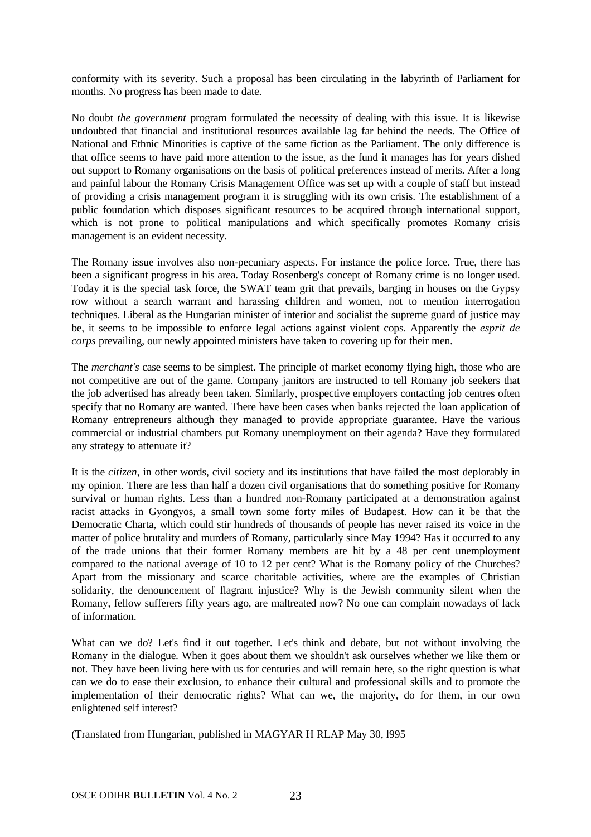conformity with its severity. Such a proposal has been circulating in the labyrinth of Parliament for months. No progress has been made to date.

No doubt *the government* program formulated the necessity of dealing with this issue. It is likewise undoubted that financial and institutional resources available lag far behind the needs. The Office of National and Ethnic Minorities is captive of the same fiction as the Parliament. The only difference is that office seems to have paid more attention to the issue, as the fund it manages has for years dished out support to Romany organisations on the basis of political preferences instead of merits. After a long and painful labour the Romany Crisis Management Office was set up with a couple of staff but instead of providing a crisis management program it is struggling with its own crisis. The establishment of a public foundation which disposes significant resources to be acquired through international support, which is not prone to political manipulations and which specifically promotes Romany crisis management is an evident necessity.

The Romany issue involves also non-pecuniary aspects. For instance the police force. True, there has been a significant progress in his area. Today Rosenberg's concept of Romany crime is no longer used. Today it is the special task force, the SWAT team grit that prevails, barging in houses on the Gypsy row without a search warrant and harassing children and women, not to mention interrogation techniques. Liberal as the Hungarian minister of interior and socialist the supreme guard of justice may be, it seems to be impossible to enforce legal actions against violent cops. Apparently the *esprit de corps* prevailing, our newly appointed ministers have taken to covering up for their men.

The *merchant's* case seems to be simplest. The principle of market economy flying high, those who are not competitive are out of the game. Company janitors are instructed to tell Romany job seekers that the job advertised has already been taken. Similarly, prospective employers contacting job centres often specify that no Romany are wanted. There have been cases when banks rejected the loan application of Romany entrepreneurs although they managed to provide appropriate guarantee. Have the various commercial or industrial chambers put Romany unemployment on their agenda? Have they formulated any strategy to attenuate it?

It is the *citizen,* in other words, civil society and its institutions that have failed the most deplorably in my opinion. There are less than half a dozen civil organisations that do something positive for Romany survival or human rights. Less than a hundred non-Romany participated at a demonstration against racist attacks in Gyongyos, a small town some forty miles of Budapest. How can it be that the Democratic Charta, which could stir hundreds of thousands of people has never raised its voice in the matter of police brutality and murders of Romany, particularly since May 1994? Has it occurred to any of the trade unions that their former Romany members are hit by a 48 per cent unemployment compared to the national average of 10 to 12 per cent? What is the Romany policy of the Churches? Apart from the missionary and scarce charitable activities, where are the examples of Christian solidarity, the denouncement of flagrant injustice? Why is the Jewish community silent when the Romany, fellow sufferers fifty years ago, are maltreated now? No one can complain nowadays of lack of information.

What can we do? Let's find it out together. Let's think and debate, but not without involving the Romany in the dialogue. When it goes about them we shouldn't ask ourselves whether we like them or not. They have been living here with us for centuries and will remain here, so the right question is what can we do to ease their exclusion, to enhance their cultural and professional skills and to promote the implementation of their democratic rights? What can we, the majority, do for them, in our own enlightened self interest?

(Translated from Hungarian, published in MAGYAR H RLAP May 30, l995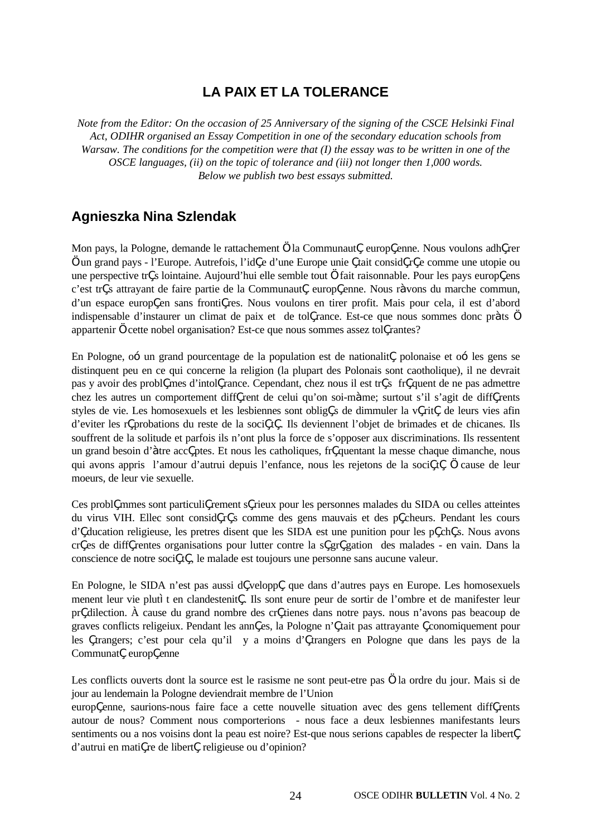## **LA PAIX ET LA TOLERANCE**

*Note from the Editor: On the occasion of 25 Anniversary of the signing of the CSCE Helsinki Final Act, ODIHR organised an Essay Competition in one of the secondary education schools from Warsaw. The conditions for the competition were that (I) the essay was to be written in one of the OSCE languages, (ii) on the topic of tolerance and (iii) not longer then 1,000 words. Below we publish two best essays submitted.*

## **Agnieszka Nina Szlendak**

Mon pays, la Pologne, demande le rattachement ... la Communaut, europ, enne. Nous voulons adh, rer … un grand pays - l'Europe. Autrefois, l'id, e d'une Europe unie, tait consid, r, e comme une utopie ou une perspective tr, s lointaine. Aujourd'hui elle semble tout … fait raisonnable. Pour les pays europ, ens c'est tr, s attrayant de faire partie de la Communaut, europ, enne. Nous r<sup>o</sup>vons du marche commun, d'un espace europ, en sans fronti, res. Nous voulons en tirer profit. Mais pour cela, il est d'abord indispensable d'instaurer un climat de paix et de tol, rance. Est-ce que nous sommes donc pr^ts ... appartenir ... cette nobel organisation? Est-ce que nous sommes assez tol, rantes?

En Pologne,  $o$ — un grand pourcentage de la population est de nationalit, polonaise et  $o$ — les gens se distinquent peu en ce qui concerne la religion (la plupart des Polonais sont caotholique), il ne devrait pas y avoir des probl, mes d'intol, rance. Cependant, chez nous il est tr, s fr, quent de ne pas admettre chez les autres un comportement diff, rent de celui qu'on soi-m<sup> $\hat{ }me$ ; surtout s'il s'agit de diff, rents</sup> styles de vie. Les homosexuels et les lesbiennes sont oblig, s de dimmuler la v, rit, de leurs vies afin d'eviter les r, probations du reste de la soci, t, . Ils deviennent l'objet de brimades et de chicanes. Ils souffrent de la solitude et parfois ils n'ont plus la force de s'opposer aux discriminations. Ils ressentent un grand besoin d'^tre acc, ptes. Et nous les catholiques, fr, quentant la messe chaque dimanche, nous qui avons appris l'amour d'autrui depuis l'enfance, nous les rejetons de la soci, t, … cause de leur moeurs, de leur vie sexuelle.

Ces probl, mmes sont particuli, rement s, rieux pour les personnes malades du SIDA ou celles atteintes du virus VIH. Ellec sont consid, r, s comme des gens mauvais et des p, cheurs. Pendant les cours d', ducation religieuse, les pretres disent que les SIDA est une punition pour les p, ch, s. Nous avons cr, es de diff, rentes organisations pour lutter contre la s, gr, gation des malades - en vain. Dans la conscience de notre soci, t, , le malade est toujours une personne sans aucune valeur.

En Pologne, le SIDA n'est pas aussi d, velopp, que dans d'autres pays en Europe. Les homosexuels menent leur vie plut ten clandestenit, . Ils sont enure peur de sortir de l'ombre et de manifester leur pr, dilection. À cause du grand nombre des cr, tienes dans notre pays. nous n'avons pas beacoup de graves conflicts religeiux. Pendant les ann, es, la Pologne n', tait pas attrayante, conomiquement pour les , trangers; c'est pour cela qu'il y a moins d', trangers en Pologne que dans les pays de la Communat, europ, enne

Les conflicts ouverts dont la source est le rasisme ne sont peut-etre pas … la ordre du jour. Mais si de jour au lendemain la Pologne deviendrait membre de l'Union

europ, enne, saurions-nous faire face a cette nouvelle situation avec des gens tellement diff, rents autour de nous? Comment nous comporterions - nous face a deux lesbiennes manifestants leurs sentiments ou a nos voisins dont la peau est noire? Est-que nous serions capables de respecter la libert, d'autrui en mati, re de libert, religieuse ou d'opinion?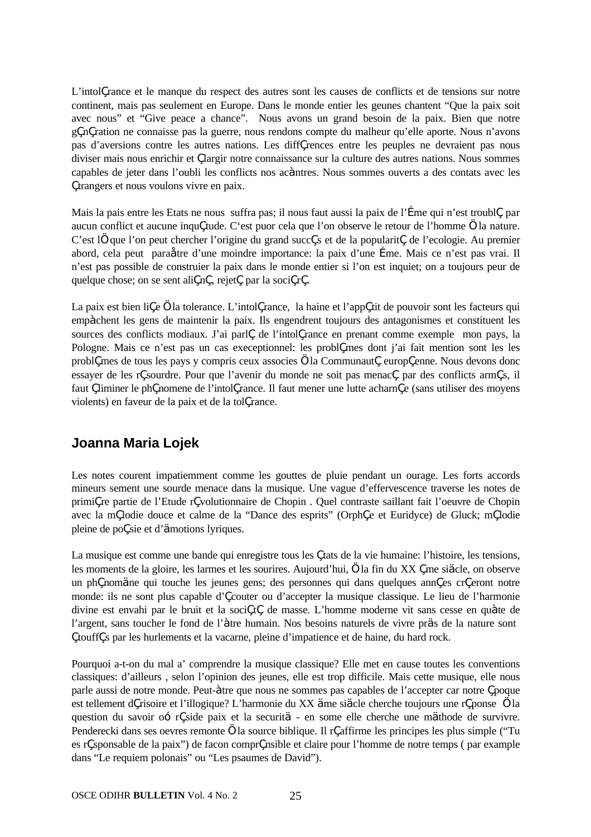L'intol, rance et le manque du respect des autres sont les causes de conflicts et de tensions sur notre continent, mais pas seulement en Europe. Dans le monde entier les geunes chantent "Que la paix soit avec nous" et "Give peace a chance". Nous avons un grand besoin de la paix. Bien que notre g, n, ration ne connaisse pas la guerre, nous rendons compte du malheur qu'elle aporte. Nous n'avons pas d'aversions contre les autres nations. Les diff, rences entre les peuples ne devraient pas nous diviser mais nous enrichir et, largir notre connaissance sur la culture des autres nations. Nous sommes capables de jeter dans l'oubli les conflicts nos acˆntres. Nous sommes ouverts a des contats avec les , trangers et nous voulons vivre en paix.

Mais la pais entre les Etats ne nous suffra pas; il nous faut aussi la paix de l'fme qui n'est troubl, par aucun conflict et aucune inqu, tude. C'est puor cela que l'on observe le retour de l'homme ... la nature. C'est l… que l'on peut chercher l'origine du grand succ, s et de la popularit, de l'ecologie. Au premier abord, cela peut paraŒtre d'une moindre importance: la paix d'une ƒme. Mais ce n'est pas vrai. Il n'est pas possible de construier la paix dans le monde entier si l'on est inquiet; on a toujours peur de quelque chose; on se sent ali, n, rejet, par la soci, r, .

La paix est bien li, e ... la tolerance. L'intol, rance, la haine et l'app, tit de pouvoir sont les facteurs qui empˆchent les gens de maintenir la paix. Ils engendrent toujours des antagonismes et constituent les sources des conflicts modiaux. J'ai parl, de l'intol, rance en prenant comme exemple mon pays, la Pologne. Mais ce n'est pas un cas execeptionnel: les probl, mes dont j'ai fait mention sont les les probl, mes de tous les pays y compris ceux associes ... la Communaut, europ, enne. Nous devons donc essayer de les r, sourdre. Pour que l'avenir du monde ne soit pas menac, par des conflicts arm, s, il faut, liminer le ph, nomene de l'intol, rance. Il faut mener une lutte acharn, e (sans utiliser des moyens violents) en faveur de la paix et de la tol, rance.

## **Joanna Maria Lojek**

Les notes courent impatiemment comme les gouttes de pluie pendant un ourage. Les forts accords mineurs sement une sourde menace dans la musique. Une vague d'effervescence traverse les notes de primi, re partie de l'Etude r, volutionnaire de Chopin . Quel contraste saillant fait l'oeuvre de Chopin avec la m, lodie douce et calme de la "Dance des esprits" (Orph, e et Euridyce) de Gluck; m, lodie pleine de po, sie et d' $\mathbf{\check{S}}$ motions lyriques.

La musique est comme une bande qui enregistre tous les, tats de la vie humaine: l'histoire, les tensions, les moments de la gloire, les larmes et les sourires. Aujourd'hui, … la fin du XX, me si $\tilde{S}$ cle, on observe un ph, nomŠne qui touche les jeunes gens; des personnes qui dans quelques ann, es cr, eront notre monde: ils ne sont plus capable d', couter ou d'accepter la musique classique. Le lieu de l'harmonie divine est envahi par le bruit et la soci, t, de masse. L'homme moderne vit sans cesse en qu<sup>o</sup>te de l'argent, sans toucher le fond de l'ˆtre humain. Nos besoins naturels de vivre prŠs de la nature sont , touff, s par les hurlements et la vacarne, pleine d'impatience et de haine, du hard rock.

Pourquoi a-t-on du mal a' comprendre la musique classique? Elle met en cause toutes les conventions classiques: d'ailleurs , selon l'opinion des jeunes, elle est trop difficile. Mais cette musique, elle nous parle aussi de notre monde. Peut-^tre que nous ne sommes pas capables de l'accepter car notre, poque est tellement d, risoire et l'illogique? L'harmonie du XX Šme siŠcle cherche toujours une r, ponse … la question du savoir  $o-$ r, side paix et la securit $\check{S}$  - en some elle cherche une m $\check{S}$ thode de survivre. Penderecki dans ses oevres remonte ... la source biblique. Il r, affirme les principes les plus simple ("Tu") es r, sponsable de la paix") de facon compr, nsible et claire pour l'homme de notre temps ( par example dans "Le requiem polonais" ou "Les psaumes de David").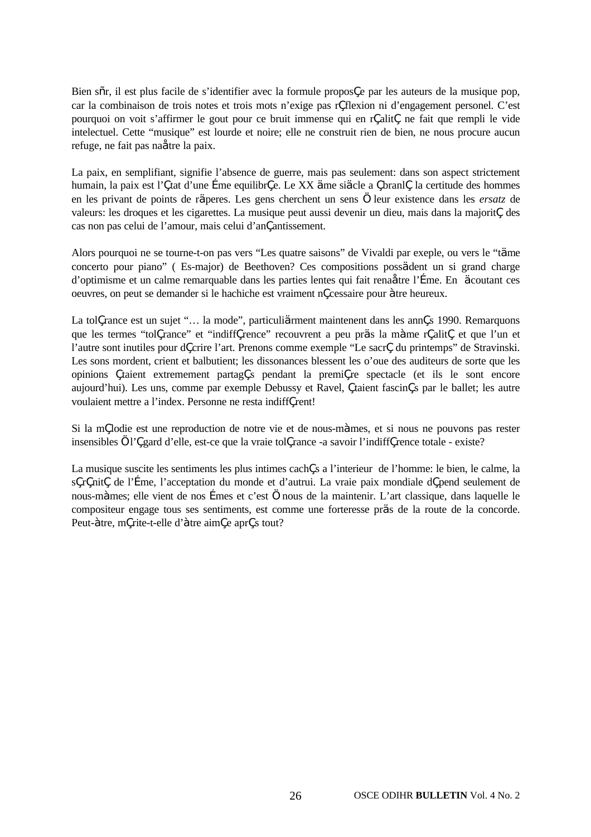Bien s–r, il est plus facile de s'identifier avec la formule propos, e par les auteurs de la musique pop, car la combinaison de trois notes et trois mots n'exige pas r, flexion ni d'engagement personel. C'est pourquoi on voit s'affirmer le gout pour ce bruit immense qui en r, alit, ne fait que rempli le vide intelectuel. Cette "musique" est lourde et noire; elle ne construit rien de bien, ne nous procure aucun refuge, ne fait pas naŒtre la paix.

La paix, en semplifiant, signifie l'absence de guerre, mais pas seulement: dans son aspect strictement humain, la paix est l', tat d'une fime equilibr, e. Le XX Šme siŠcle a, branl, la certitude des hommes en les privant de points de rŠperes. Les gens cherchent un sens … leur existence dans les *ersatz* de valeurs: les droques et les cigarettes. La musique peut aussi devenir un dieu, mais dans la majorit, des cas non pas celui de l'amour, mais celui d'an, antissement.

Alors pourquoi ne se tourne-t-on pas vers "Les quatre saisons" de Vivaldi par exeple, ou vers le "tŠme concerto pour piano" ( Es-major) de Beethoven? Ces compositions possŠdent un si grand charge d'optimisme et un calme remarquable dans les parties lentes qui fait rena**Œ**tre l'free. En Socoutant ces oeuvres, on peut se demander si le hachiche est vraiment n'cessaire pour ˆtre heureux.

La tol, rance est un sujet "… la mode", particuli**Š**rment maintenent dans les ann, s 1990. Remarquons que les termes "tol, rance" et "indiff, rence" recouvrent a peu prŠs la m<sup>ome</sup> r, alit, et que l'un et l'autre sont inutiles pour d, crire l'art. Prenons comme exemple "Le sacr, du printemps" de Stravinski. Les sons mordent, crient et balbutient; les dissonances blessent les o'oue des auditeurs de sorte que les opinions , taient extremement partag, s pendant la premi, re spectacle (et ils le sont encore aujourd'hui). Les uns, comme par exemple Debussy et Ravel, , taient fascin, s par le ballet; les autre voulaient mettre a l'index. Personne ne resta indiff, rent!

Si la m, lodie est une reproduction de notre vie et de nous-m<sup>omes</sup>, et si nous ne pouvons pas rester insensibles ... l', gard d'elle, est-ce que la vraie tol, rance -a savoir l'indiff, rence totale - existe?

La musique suscite les sentiments les plus intimes cach, s a l'interieur de l'homme: le bien, le calme, la s, r, nit, de l'fme, l'acceptation du monde et d'autrui. La vraie paix mondiale d, pend seulement de nous-mˆmes; elle vient de nos ƒmes et c'est … nous de la maintenir. L'art classique, dans laquelle le compositeur engage tous ses sentiments, est comme une forteresse prŠs de la route de la concorde. Peut-^tre, m, rite-t-elle d'^tre aim, e apr, s tout?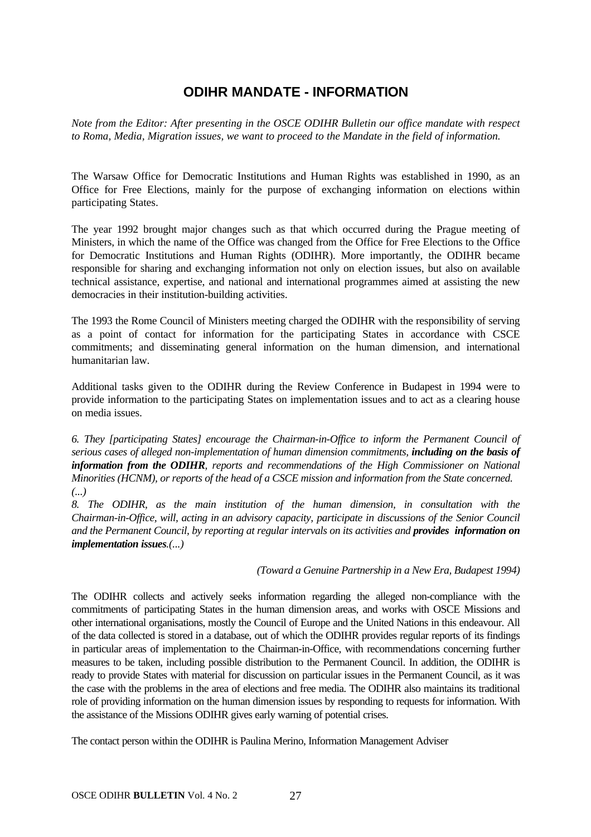## **ODIHR MANDATE - INFORMATION**

*Note from the Editor: After presenting in the OSCE ODIHR Bulletin our office mandate with respect to Roma, Media, Migration issues, we want to proceed to the Mandate in the field of information.*

The Warsaw Office for Democratic Institutions and Human Rights was established in 1990, as an Office for Free Elections, mainly for the purpose of exchanging information on elections within participating States.

The year 1992 brought major changes such as that which occurred during the Prague meeting of Ministers, in which the name of the Office was changed from the Office for Free Elections to the Office for Democratic Institutions and Human Rights (ODIHR). More importantly, the ODIHR became responsible for sharing and exchanging information not only on election issues, but also on available technical assistance, expertise, and national and international programmes aimed at assisting the new democracies in their institution-building activities.

The 1993 the Rome Council of Ministers meeting charged the ODIHR with the responsibility of serving as a point of contact for information for the participating States in accordance with CSCE commitments; and disseminating general information on the human dimension, and international humanitarian law.

Additional tasks given to the ODIHR during the Review Conference in Budapest in 1994 were to provide information to the participating States on implementation issues and to act as a clearing house on media issues.

*6. They [participating States] encourage the Chairman-in-Office to inform the Permanent Council of serious cases of alleged non-implementation of human dimension commitments, including on the basis of information from the ODIHR, reports and recommendations of the High Commissioner on National Minorities (HCNM), or reports of the head of a CSCE mission and information from the State concerned. (...)*

*8. The ODIHR, as the main institution of the human dimension, in consultation with the Chairman-in-Office, will, acting in an advisory capacity, participate in discussions of the Senior Council and the Permanent Council, by reporting at regular intervals on its activities and provides information on implementation issues.(...)*

*(Toward a Genuine Partnership in a New Era, Budapest 1994)*

The ODIHR collects and actively seeks information regarding the alleged non-compliance with the commitments of participating States in the human dimension areas, and works with OSCE Missions and other international organisations, mostly the Council of Europe and the United Nations in this endeavour. All of the data collected is stored in a database, out of which the ODIHR provides regular reports of its findings in particular areas of implementation to the Chairman-in-Office, with recommendations concerning further measures to be taken, including possible distribution to the Permanent Council. In addition, the ODIHR is ready to provide States with material for discussion on particular issues in the Permanent Council, as it was the case with the problems in the area of elections and free media. The ODIHR also maintains its traditional role of providing information on the human dimension issues by responding to requests for information. With the assistance of the Missions ODIHR gives early warning of potential crises.

The contact person within the ODIHR is Paulina Merino, Information Management Adviser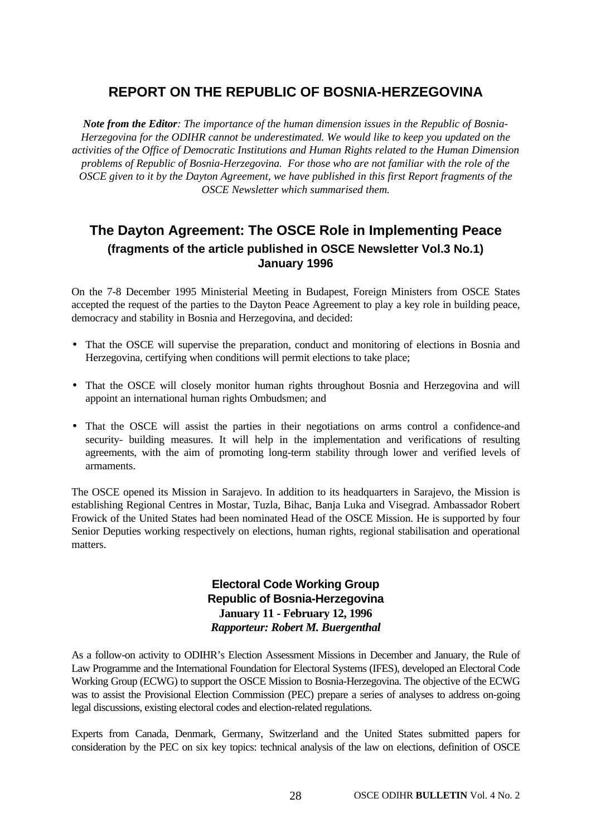## **REPORT ON THE REPUBLIC OF BOSNIA-HERZEGOVINA**

*Note from the Editor: The importance of the human dimension issues in the Republic of Bosnia-Herzegovina for the ODIHR cannot be underestimated. We would like to keep you updated on the activities of the Office of Democratic Institutions and Human Rights related to the Human Dimension problems of Republic of Bosnia-Herzegovina. For those who are not familiar with the role of the OSCE given to it by the Dayton Agreement, we have published in this first Report fragments of the OSCE Newsletter which summarised them.*

## **The Dayton Agreement: The OSCE Role in Implementing Peace (fragments of the article published in OSCE Newsletter Vol.3 No.1) January 1996**

On the 7-8 December 1995 Ministerial Meeting in Budapest, Foreign Ministers from OSCE States accepted the request of the parties to the Dayton Peace Agreement to play a key role in building peace, democracy and stability in Bosnia and Herzegovina, and decided:

- That the OSCE will supervise the preparation, conduct and monitoring of elections in Bosnia and Herzegovina, certifying when conditions will permit elections to take place;
- That the OSCE will closely monitor human rights throughout Bosnia and Herzegovina and will appoint an international human rights Ombudsmen; and
- That the OSCE will assist the parties in their negotiations on arms control a confidence-and security- building measures. It will help in the implementation and verifications of resulting agreements, with the aim of promoting long-term stability through lower and verified levels of armaments.

The OSCE opened its Mission in Sarajevo. In addition to its headquarters in Sarajevo, the Mission is establishing Regional Centres in Mostar, Tuzla, Bihac, Banja Luka and Visegrad. Ambassador Robert Frowick of the United States had been nominated Head of the OSCE Mission. He is supported by four Senior Deputies working respectively on elections, human rights, regional stabilisation and operational matters.

#### **Electoral Code Working Group Republic of Bosnia-Herzegovina January 11 - February 12, 1996** *Rapporteur: Robert M. Buergenthal*

As a follow-on activity to ODIHR's Election Assessment Missions in December and January, the Rule of Law Programme and the International Foundation for Electoral Systems (IFES), developed an Electoral Code Working Group (ECWG) to support the OSCE Mission to Bosnia-Herzegovina. The objective of the ECWG was to assist the Provisional Election Commission (PEC) prepare a series of analyses to address on-going legal discussions, existing electoral codes and election-related regulations.

Experts from Canada, Denmark, Germany, Switzerland and the United States submitted papers for consideration by the PEC on six key topics: technical analysis of the law on elections, definition of OSCE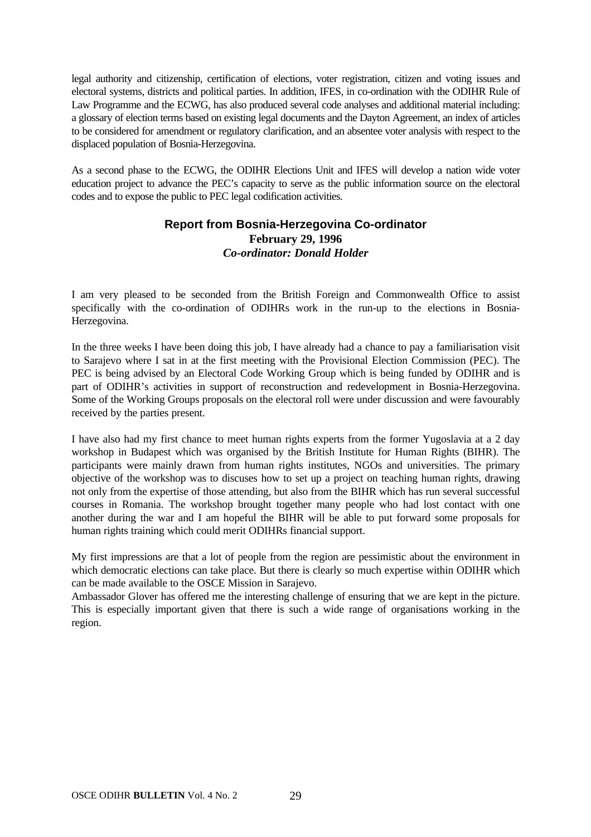legal authority and citizenship, certification of elections, voter registration, citizen and voting issues and electoral systems, districts and political parties. In addition, IFES, in co-ordination with the ODIHR Rule of Law Programme and the ECWG, has also produced several code analyses and additional material including: a glossary of election terms based on existing legal documents and the Dayton Agreement, an index of articles to be considered for amendment or regulatory clarification, and an absentee voter analysis with respect to the displaced population of Bosnia-Herzegovina.

As a second phase to the ECWG, the ODIHR Elections Unit and IFES will develop a nation wide voter education project to advance the PEC's capacity to serve as the public information source on the electoral codes and to expose the public to PEC legal codification activities.

#### **Report from Bosnia-Herzegovina Co-ordinator February 29, 1996** *Co-ordinator: Donald Holder*

I am very pleased to be seconded from the British Foreign and Commonwealth Office to assist specifically with the co-ordination of ODIHRs work in the run-up to the elections in Bosnia-Herzegovina.

In the three weeks I have been doing this job, I have already had a chance to pay a familiarisation visit to Sarajevo where I sat in at the first meeting with the Provisional Election Commission (PEC). The PEC is being advised by an Electoral Code Working Group which is being funded by ODIHR and is part of ODIHR's activities in support of reconstruction and redevelopment in Bosnia-Herzegovina. Some of the Working Groups proposals on the electoral roll were under discussion and were favourably received by the parties present.

I have also had my first chance to meet human rights experts from the former Yugoslavia at a 2 day workshop in Budapest which was organised by the British Institute for Human Rights (BIHR). The participants were mainly drawn from human rights institutes, NGOs and universities. The primary objective of the workshop was to discuses how to set up a project on teaching human rights, drawing not only from the expertise of those attending, but also from the BIHR which has run several successful courses in Romania. The workshop brought together many people who had lost contact with one another during the war and I am hopeful the BIHR will be able to put forward some proposals for human rights training which could merit ODIHRs financial support.

My first impressions are that a lot of people from the region are pessimistic about the environment in which democratic elections can take place. But there is clearly so much expertise within ODIHR which can be made available to the OSCE Mission in Sarajevo.

Ambassador Glover has offered me the interesting challenge of ensuring that we are kept in the picture. This is especially important given that there is such a wide range of organisations working in the region.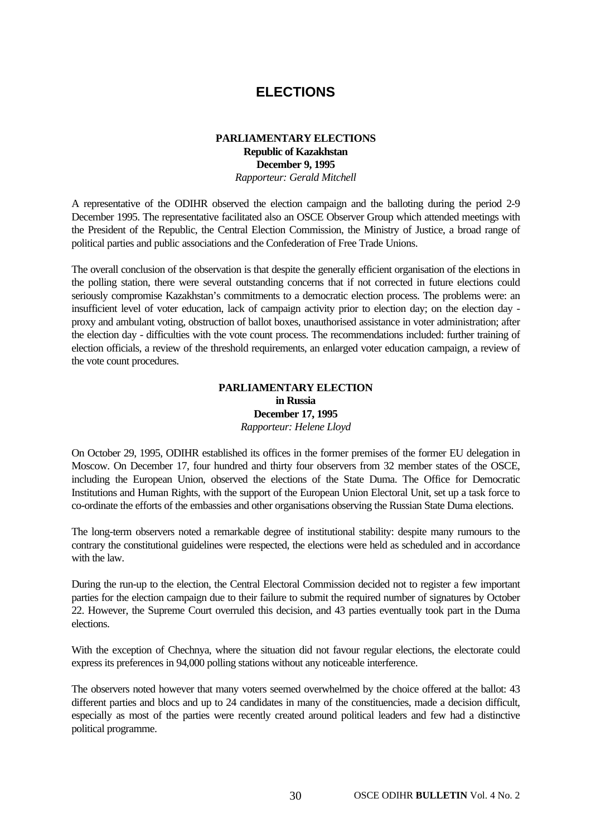## **ELECTIONS**

#### **PARLIAMENTARY ELECTIONS Republic of Kazakhstan December 9, 1995** *Rapporteur: Gerald Mitchell*

A representative of the ODIHR observed the election campaign and the balloting during the period 2-9 December 1995. The representative facilitated also an OSCE Observer Group which attended meetings with the President of the Republic, the Central Election Commission, the Ministry of Justice, a broad range of political parties and public associations and the Confederation of Free Trade Unions.

The overall conclusion of the observation is that despite the generally efficient organisation of the elections in the polling station, there were several outstanding concerns that if not corrected in future elections could seriously compromise Kazakhstan's commitments to a democratic election process. The problems were: an insufficient level of voter education, lack of campaign activity prior to election day; on the election day proxy and ambulant voting, obstruction of ballot boxes, unauthorised assistance in voter administration; after the election day - difficulties with the vote count process. The recommendations included: further training of election officials, a review of the threshold requirements, an enlarged voter education campaign, a review of the vote count procedures.

#### **PARLIAMENTARY ELECTION in Russia December 17, 1995** *Rapporteur: Helene Lloyd*

On October 29, 1995, ODIHR established its offices in the former premises of the former EU delegation in Moscow. On December 17, four hundred and thirty four observers from 32 member states of the OSCE, including the European Union, observed the elections of the State Duma. The Office for Democratic Institutions and Human Rights, with the support of the European Union Electoral Unit, set up a task force to co-ordinate the efforts of the embassies and other organisations observing the Russian State Duma elections.

The long-term observers noted a remarkable degree of institutional stability: despite many rumours to the contrary the constitutional guidelines were respected, the elections were held as scheduled and in accordance with the law.

During the run-up to the election, the Central Electoral Commission decided not to register a few important parties for the election campaign due to their failure to submit the required number of signatures by October 22. However, the Supreme Court overruled this decision, and 43 parties eventually took part in the Duma elections.

With the exception of Chechnya, where the situation did not favour regular elections, the electorate could express its preferences in 94,000 polling stations without any noticeable interference.

The observers noted however that many voters seemed overwhelmed by the choice offered at the ballot: 43 different parties and blocs and up to 24 candidates in many of the constituencies, made a decision difficult, especially as most of the parties were recently created around political leaders and few had a distinctive political programme.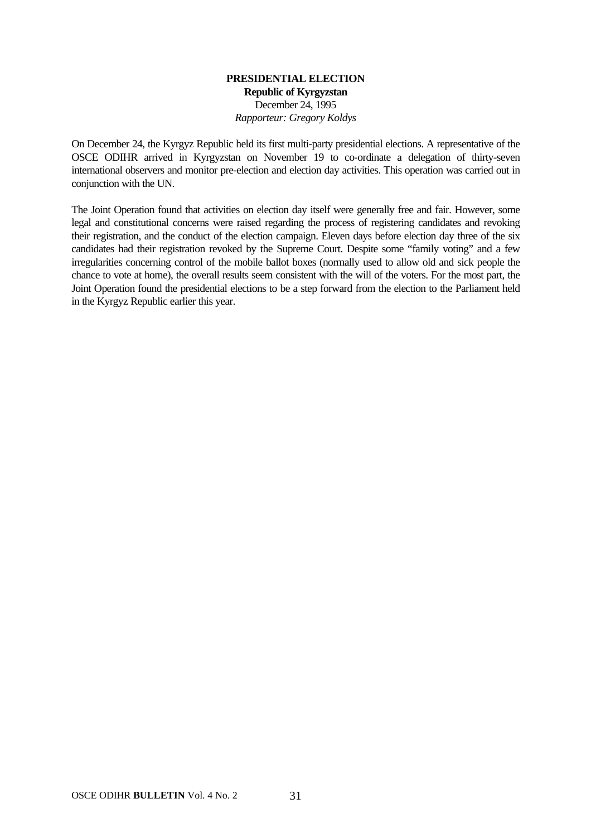#### **PRESIDENTIAL ELECTION Republic of Kyrgyzstan** December 24, 1995 *Rapporteur: Gregory Koldys*

On December 24, the Kyrgyz Republic held its first multi-party presidential elections. A representative of the OSCE ODIHR arrived in Kyrgyzstan on November 19 to co-ordinate a delegation of thirty-seven international observers and monitor pre-election and election day activities. This operation was carried out in conjunction with the UN.

The Joint Operation found that activities on election day itself were generally free and fair. However, some legal and constitutional concerns were raised regarding the process of registering candidates and revoking their registration, and the conduct of the election campaign. Eleven days before election day three of the six candidates had their registration revoked by the Supreme Court. Despite some "family voting" and a few irregularities concerning control of the mobile ballot boxes (normally used to allow old and sick people the chance to vote at home), the overall results seem consistent with the will of the voters. For the most part, the Joint Operation found the presidential elections to be a step forward from the election to the Parliament held in the Kyrgyz Republic earlier this year.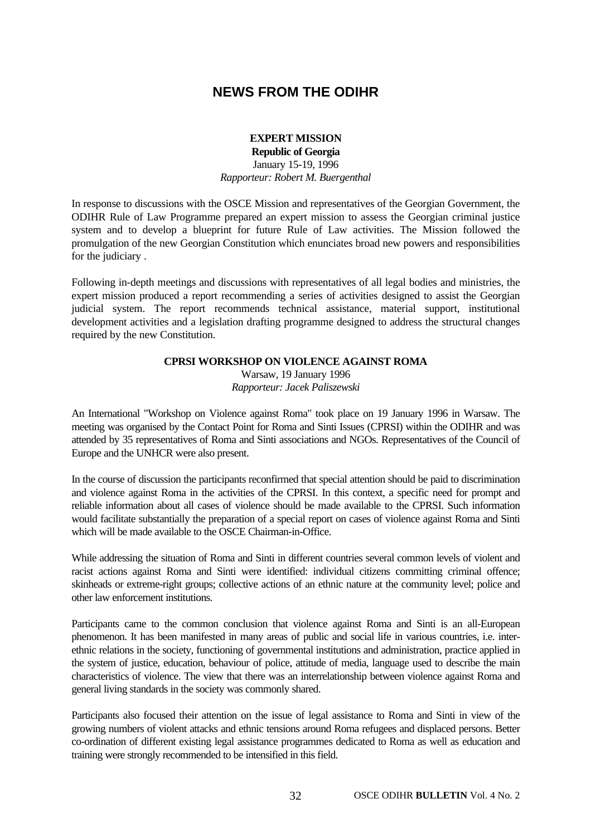## **NEWS FROM THE ODIHR**

#### **EXPERT MISSION**

**Republic of Georgia** January 15-19, 1996 *Rapporteur: Robert M. Buergenthal*

In response to discussions with the OSCE Mission and representatives of the Georgian Government, the ODIHR Rule of Law Programme prepared an expert mission to assess the Georgian criminal justice system and to develop a blueprint for future Rule of Law activities. The Mission followed the promulgation of the new Georgian Constitution which enunciates broad new powers and responsibilities for the judiciary .

Following in-depth meetings and discussions with representatives of all legal bodies and ministries, the expert mission produced a report recommending a series of activities designed to assist the Georgian judicial system. The report recommends technical assistance, material support, institutional development activities and a legislation drafting programme designed to address the structural changes required by the new Constitution.

#### **CPRSI WORKSHOP ON VIOLENCE AGAINST ROMA**

Warsaw, 19 January 1996 *Rapporteur: Jacek Paliszewski*

An International "Workshop on Violence against Roma" took place on 19 January 1996 in Warsaw. The meeting was organised by the Contact Point for Roma and Sinti Issues (CPRSI) within the ODIHR and was attended by 35 representatives of Roma and Sinti associations and NGOs. Representatives of the Council of Europe and the UNHCR were also present.

In the course of discussion the participants reconfirmed that special attention should be paid to discrimination and violence against Roma in the activities of the CPRSI. In this context, a specific need for prompt and reliable information about all cases of violence should be made available to the CPRSI. Such information would facilitate substantially the preparation of a special report on cases of violence against Roma and Sinti which will be made available to the OSCE Chairman-in-Office.

While addressing the situation of Roma and Sinti in different countries several common levels of violent and racist actions against Roma and Sinti were identified: individual citizens committing criminal offence; skinheads or extreme-right groups; collective actions of an ethnic nature at the community level; police and other law enforcement institutions.

Participants came to the common conclusion that violence against Roma and Sinti is an all-European phenomenon. It has been manifested in many areas of public and social life in various countries, i.e. interethnic relations in the society, functioning of governmental institutions and administration, practice applied in the system of justice, education, behaviour of police, attitude of media, language used to describe the main characteristics of violence. The view that there was an interrelationship between violence against Roma and general living standards in the society was commonly shared.

Participants also focused their attention on the issue of legal assistance to Roma and Sinti in view of the growing numbers of violent attacks and ethnic tensions around Roma refugees and displaced persons. Better co-ordination of different existing legal assistance programmes dedicated to Roma as well as education and training were strongly recommended to be intensified in this field.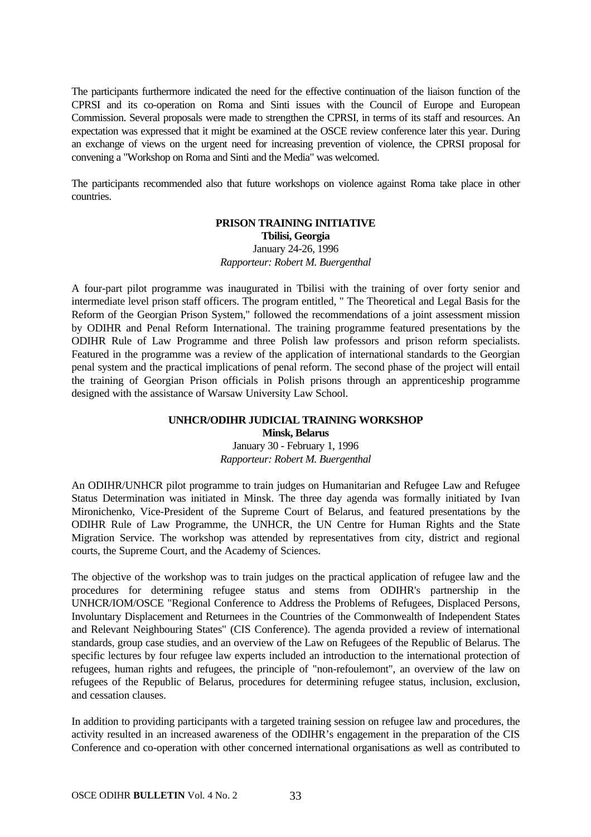The participants furthermore indicated the need for the effective continuation of the liaison function of the CPRSI and its co-operation on Roma and Sinti issues with the Council of Europe and European Commission. Several proposals were made to strengthen the CPRSI, in terms of its staff and resources. An expectation was expressed that it might be examined at the OSCE review conference later this year. During an exchange of views on the urgent need for increasing prevention of violence, the CPRSI proposal for convening a "Workshop on Roma and Sinti and the Media" was welcomed.

The participants recommended also that future workshops on violence against Roma take place in other countries.

#### **PRISON TRAINING INITIATIVE Tbilisi, Georgia** January 24-26, 1996 *Rapporteur: Robert M. Buergenthal*

A four-part pilot programme was inaugurated in Tbilisi with the training of over forty senior and intermediate level prison staff officers. The program entitled, " The Theoretical and Legal Basis for the Reform of the Georgian Prison System," followed the recommendations of a joint assessment mission by ODIHR and Penal Reform International. The training programme featured presentations by the ODIHR Rule of Law Programme and three Polish law professors and prison reform specialists. Featured in the programme was a review of the application of international standards to the Georgian penal system and the practical implications of penal reform. The second phase of the project will entail the training of Georgian Prison officials in Polish prisons through an apprenticeship programme designed with the assistance of Warsaw University Law School.

#### **UNHCR/ODIHR JUDICIAL TRAINING WORKSHOP Minsk, Belarus**

January 30 - February 1, 1996 *Rapporteur: Robert M. Buergenthal*

An ODIHR/UNHCR pilot programme to train judges on Humanitarian and Refugee Law and Refugee Status Determination was initiated in Minsk. The three day agenda was formally initiated by Ivan Mironichenko, Vice-President of the Supreme Court of Belarus, and featured presentations by the ODIHR Rule of Law Programme, the UNHCR, the UN Centre for Human Rights and the State Migration Service. The workshop was attended by representatives from city, district and regional courts, the Supreme Court, and the Academy of Sciences.

The objective of the workshop was to train judges on the practical application of refugee law and the procedures for determining refugee status and stems from ODIHR's partnership in the UNHCR/IOM/OSCE "Regional Conference to Address the Problems of Refugees, Displaced Persons, Involuntary Displacement and Returnees in the Countries of the Commonwealth of Independent States and Relevant Neighbouring States" (CIS Conference). The agenda provided a review of international standards, group case studies, and an overview of the Law on Refugees of the Republic of Belarus. The specific lectures by four refugee law experts included an introduction to the international protection of refugees, human rights and refugees, the principle of "non-refoulemont", an overview of the law on refugees of the Republic of Belarus, procedures for determining refugee status, inclusion, exclusion, and cessation clauses.

In addition to providing participants with a targeted training session on refugee law and procedures, the activity resulted in an increased awareness of the ODIHR's engagement in the preparation of the CIS Conference and co-operation with other concerned international organisations as well as contributed to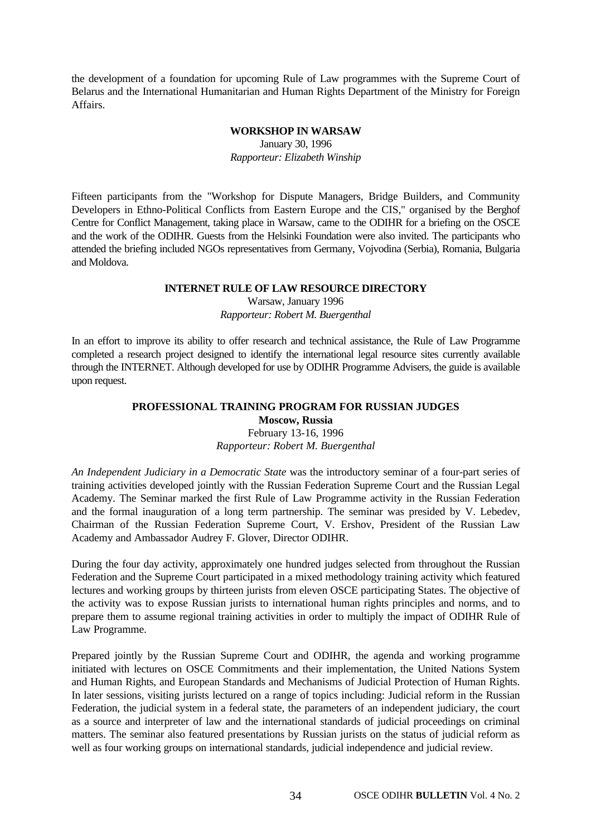the development of a foundation for upcoming Rule of Law programmes with the Supreme Court of Belarus and the International Humanitarian and Human Rights Department of the Ministry for Foreign Affairs.

#### **WORKSHOP IN WARSAW**

January 30, 1996 *Rapporteur: Elizabeth Winship*

Fifteen participants from the "Workshop for Dispute Managers, Bridge Builders, and Community Developers in Ethno-Political Conflicts from Eastern Europe and the CIS," organised by the Berghof Centre for Conflict Management, taking place in Warsaw, came to the ODIHR for a briefing on the OSCE and the work of the ODIHR. Guests from the Helsinki Foundation were also invited. The participants who attended the briefing included NGOs representatives from Germany, Vojvodina (Serbia), Romania, Bulgaria and Moldova.

#### **INTERNET RULE OF LAW RESOURCE DIRECTORY**

Warsaw, January 1996 *Rapporteur: Robert M. Buergenthal*

In an effort to improve its ability to offer research and technical assistance, the Rule of Law Programme completed a research project designed to identify the international legal resource sites currently available through the INTERNET. Although developed for use by ODIHR Programme Advisers, the guide is available upon request.

#### **PROFESSIONAL TRAINING PROGRAM FOR RUSSIAN JUDGES Moscow, Russia** February 13-16, 1996

*Rapporteur: Robert M. Buergenthal*

*An Independent Judiciary in a Democratic State* was the introductory seminar of a four-part series of training activities developed jointly with the Russian Federation Supreme Court and the Russian Legal Academy. The Seminar marked the first Rule of Law Programme activity in the Russian Federation and the formal inauguration of a long term partnership. The seminar was presided by V. Lebedev, Chairman of the Russian Federation Supreme Court, V. Ershov, President of the Russian Law Academy and Ambassador Audrey F. Glover, Director ODIHR.

During the four day activity, approximately one hundred judges selected from throughout the Russian Federation and the Supreme Court participated in a mixed methodology training activity which featured lectures and working groups by thirteen jurists from eleven OSCE participating States. The objective of the activity was to expose Russian jurists to international human rights principles and norms, and to prepare them to assume regional training activities in order to multiply the impact of ODIHR Rule of Law Programme.

Prepared jointly by the Russian Supreme Court and ODIHR, the agenda and working programme initiated with lectures on OSCE Commitments and their implementation, the United Nations System and Human Rights, and European Standards and Mechanisms of Judicial Protection of Human Rights. In later sessions, visiting jurists lectured on a range of topics including: Judicial reform in the Russian Federation, the judicial system in a federal state, the parameters of an independent judiciary, the court as a source and interpreter of law and the international standards of judicial proceedings on criminal matters. The seminar also featured presentations by Russian jurists on the status of judicial reform as well as four working groups on international standards, judicial independence and judicial review.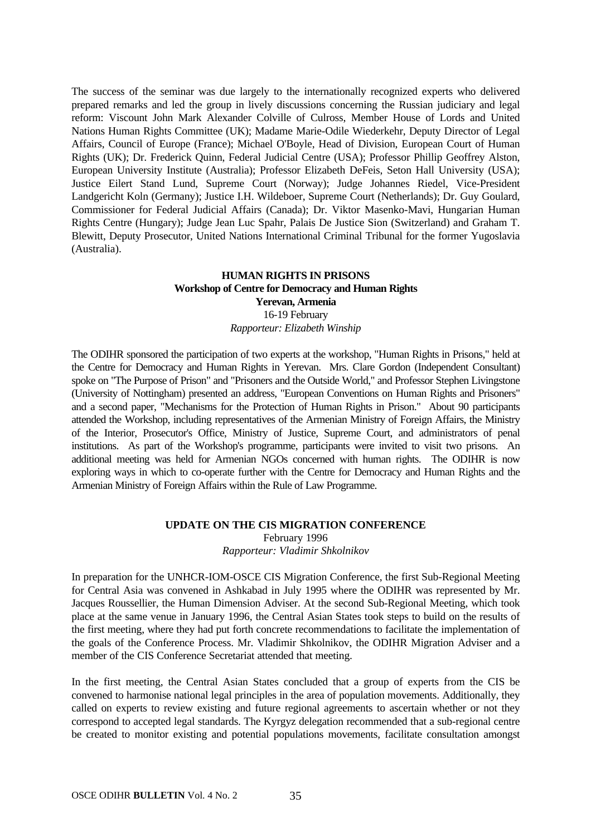The success of the seminar was due largely to the internationally recognized experts who delivered prepared remarks and led the group in lively discussions concerning the Russian judiciary and legal reform: Viscount John Mark Alexander Colville of Culross, Member House of Lords and United Nations Human Rights Committee (UK); Madame Marie-Odile Wiederkehr, Deputy Director of Legal Affairs, Council of Europe (France); Michael O'Boyle, Head of Division, European Court of Human Rights (UK); Dr. Frederick Quinn, Federal Judicial Centre (USA); Professor Phillip Geoffrey Alston, European University Institute (Australia); Professor Elizabeth DeFeis, Seton Hall University (USA); Justice Eilert Stand Lund, Supreme Court (Norway); Judge Johannes Riedel, Vice-President Landgericht Koln (Germany); Justice I.H. Wildeboer, Supreme Court (Netherlands); Dr. Guy Goulard, Commissioner for Federal Judicial Affairs (Canada); Dr. Viktor Masenko-Mavi, Hungarian Human Rights Centre (Hungary); Judge Jean Luc Spahr, Palais De Justice Sion (Switzerland) and Graham T. Blewitt, Deputy Prosecutor, United Nations International Criminal Tribunal for the former Yugoslavia (Australia).

#### **HUMAN RIGHTS IN PRISONS Workshop of Centre for Democracy and Human Rights Yerevan, Armenia** 16-19 February *Rapporteur: Elizabeth Winship*

The ODIHR sponsored the participation of two experts at the workshop, "Human Rights in Prisons," held at the Centre for Democracy and Human Rights in Yerevan. Mrs. Clare Gordon (Independent Consultant) spoke on "The Purpose of Prison" and "Prisoners and the Outside World," and Professor Stephen Livingstone (University of Nottingham) presented an address, "European Conventions on Human Rights and Prisoners" and a second paper, "Mechanisms for the Protection of Human Rights in Prison." About 90 participants attended the Workshop, including representatives of the Armenian Ministry of Foreign Affairs, the Ministry of the Interior, Prosecutor's Office, Ministry of Justice, Supreme Court, and administrators of penal institutions. As part of the Workshop's programme, participants were invited to visit two prisons. An additional meeting was held for Armenian NGOs concerned with human rights. The ODIHR is now exploring ways in which to co-operate further with the Centre for Democracy and Human Rights and the Armenian Ministry of Foreign Affairs within the Rule of Law Programme.

#### **UPDATE ON THE CIS MIGRATION CONFERENCE**

February 1996

*Rapporteur: Vladimir Shkolnikov*

In preparation for the UNHCR-IOM-OSCE CIS Migration Conference, the first Sub-Regional Meeting for Central Asia was convened in Ashkabad in July 1995 where the ODIHR was represented by Mr. Jacques Roussellier, the Human Dimension Adviser. At the second Sub-Regional Meeting, which took place at the same venue in January 1996, the Central Asian States took steps to build on the results of the first meeting, where they had put forth concrete recommendations to facilitate the implementation of the goals of the Conference Process. Mr. Vladimir Shkolnikov, the ODIHR Migration Adviser and a member of the CIS Conference Secretariat attended that meeting.

In the first meeting, the Central Asian States concluded that a group of experts from the CIS be convened to harmonise national legal principles in the area of population movements. Additionally, they called on experts to review existing and future regional agreements to ascertain whether or not they correspond to accepted legal standards. The Kyrgyz delegation recommended that a sub-regional centre be created to monitor existing and potential populations movements, facilitate consultation amongst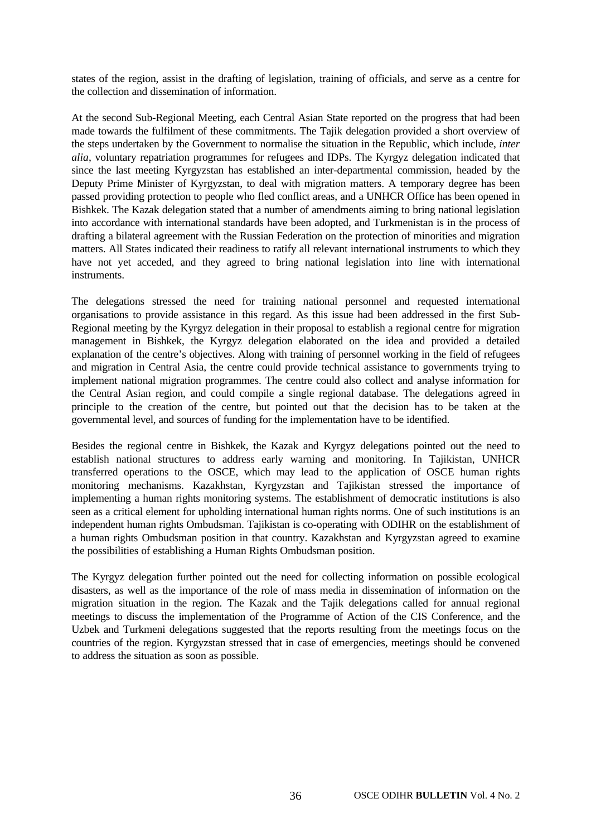states of the region, assist in the drafting of legislation, training of officials, and serve as a centre for the collection and dissemination of information.

At the second Sub-Regional Meeting, each Central Asian State reported on the progress that had been made towards the fulfilment of these commitments. The Tajik delegation provided a short overview of the steps undertaken by the Government to normalise the situation in the Republic, which include, *inter alia*, voluntary repatriation programmes for refugees and IDPs. The Kyrgyz delegation indicated that since the last meeting Kyrgyzstan has established an inter-departmental commission, headed by the Deputy Prime Minister of Kyrgyzstan, to deal with migration matters. A temporary degree has been passed providing protection to people who fled conflict areas, and a UNHCR Office has been opened in Bishkek. The Kazak delegation stated that a number of amendments aiming to bring national legislation into accordance with international standards have been adopted, and Turkmenistan is in the process of drafting a bilateral agreement with the Russian Federation on the protection of minorities and migration matters. All States indicated their readiness to ratify all relevant international instruments to which they have not yet acceded, and they agreed to bring national legislation into line with international instruments.

The delegations stressed the need for training national personnel and requested international organisations to provide assistance in this regard. As this issue had been addressed in the first Sub-Regional meeting by the Kyrgyz delegation in their proposal to establish a regional centre for migration management in Bishkek, the Kyrgyz delegation elaborated on the idea and provided a detailed explanation of the centre's objectives. Along with training of personnel working in the field of refugees and migration in Central Asia, the centre could provide technical assistance to governments trying to implement national migration programmes. The centre could also collect and analyse information for the Central Asian region, and could compile a single regional database. The delegations agreed in principle to the creation of the centre, but pointed out that the decision has to be taken at the governmental level, and sources of funding for the implementation have to be identified.

Besides the regional centre in Bishkek, the Kazak and Kyrgyz delegations pointed out the need to establish national structures to address early warning and monitoring. In Tajikistan, UNHCR transferred operations to the OSCE, which may lead to the application of OSCE human rights monitoring mechanisms. Kazakhstan, Kyrgyzstan and Tajikistan stressed the importance of implementing a human rights monitoring systems. The establishment of democratic institutions is also seen as a critical element for upholding international human rights norms. One of such institutions is an independent human rights Ombudsman. Tajikistan is co-operating with ODIHR on the establishment of a human rights Ombudsman position in that country. Kazakhstan and Kyrgyzstan agreed to examine the possibilities of establishing a Human Rights Ombudsman position.

The Kyrgyz delegation further pointed out the need for collecting information on possible ecological disasters, as well as the importance of the role of mass media in dissemination of information on the migration situation in the region. The Kazak and the Tajik delegations called for annual regional meetings to discuss the implementation of the Programme of Action of the CIS Conference, and the Uzbek and Turkmeni delegations suggested that the reports resulting from the meetings focus on the countries of the region. Kyrgyzstan stressed that in case of emergencies, meetings should be convened to address the situation as soon as possible.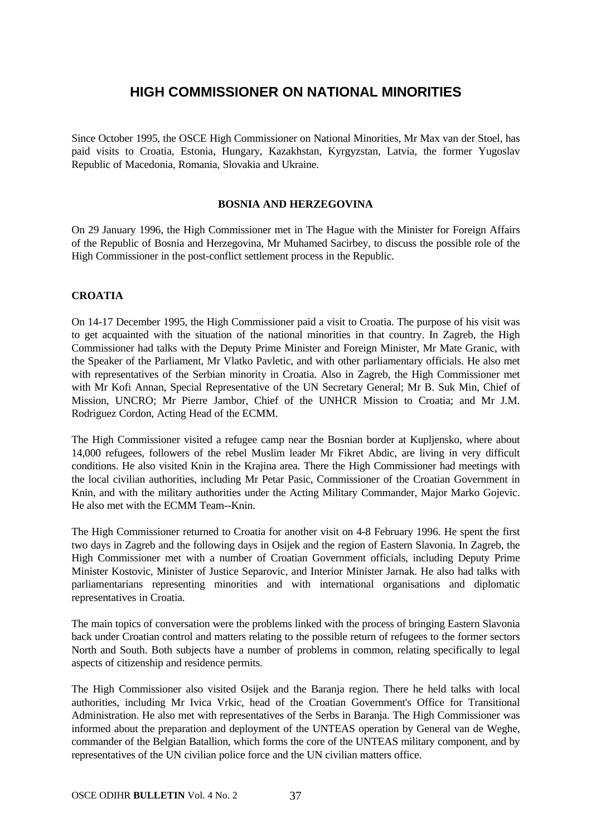## **HIGH COMMISSIONER ON NATIONAL MINORITIES**

Since October 1995, the OSCE High Commissioner on National Minorities, Mr Max van der Stoel, has paid visits to Croatia, Estonia, Hungary, Kazakhstan, Kyrgyzstan, Latvia, the former Yugoslav Republic of Macedonia, Romania, Slovakia and Ukraine.

#### **BOSNIA AND HERZEGOVINA**

On 29 January 1996, the High Commissioner met in The Hague with the Minister for Foreign Affairs of the Republic of Bosnia and Herzegovina, Mr Muhamed Sacirbey, to discuss the possible role of the High Commissioner in the post-conflict settlement process in the Republic.

#### **CROATIA**

On 14-17 December 1995, the High Commissioner paid a visit to Croatia. The purpose of his visit was to get acquainted with the situation of the national minorities in that country. In Zagreb, the High Commissioner had talks with the Deputy Prime Minister and Foreign Minister, Mr Mate Granic, with the Speaker of the Parliament, Mr Vlatko Pavletic, and with other parliamentary officials. He also met with representatives of the Serbian minority in Croatia. Also in Zagreb, the High Commissioner met with Mr Kofi Annan, Special Representative of the UN Secretary General; Mr B. Suk Min, Chief of Mission, UNCRO; Mr Pierre Jambor, Chief of the UNHCR Mission to Croatia; and Mr J.M. Rodriguez Cordon, Acting Head of the ECMM.

The High Commissioner visited a refugee camp near the Bosnian border at Kupljensko, where about 14,000 refugees, followers of the rebel Muslim leader Mr Fikret Abdic, are living in very difficult conditions. He also visited Knin in the Krajina area. There the High Commissioner had meetings with the local civilian authorities, including Mr Petar Pasic, Commissioner of the Croatian Government in Knin, and with the military authorities under the Acting Military Commander, Major Marko Gojevic. He also met with the ECMM Team--Knin.

The High Commissioner returned to Croatia for another visit on 4-8 February 1996. He spent the first two days in Zagreb and the following days in Osijek and the region of Eastern Slavonia. In Zagreb, the High Commissioner met with a number of Croatian Government officials, including Deputy Prime Minister Kostovic, Minister of Justice Separovic, and Interior Minister Jarnak. He also had talks with parliamentarians representing minorities and with international organisations and diplomatic representatives in Croatia.

The main topics of conversation were the problems linked with the process of bringing Eastern Slavonia back under Croatian control and matters relating to the possible return of refugees to the former sectors North and South. Both subjects have a number of problems in common, relating specifically to legal aspects of citizenship and residence permits.

The High Commissioner also visited Osijek and the Baranja region. There he held talks with local authorities, including Mr Ivica Vrkic, head of the Croatian Government's Office for Transitional Administration. He also met with representatives of the Serbs in Baranja. The High Commissioner was informed about the preparation and deployment of the UNTEAS operation by General van de Weghe, commander of the Belgian Batallion, which forms the core of the UNTEAS military component, and by representatives of the UN civilian police force and the UN civilian matters office.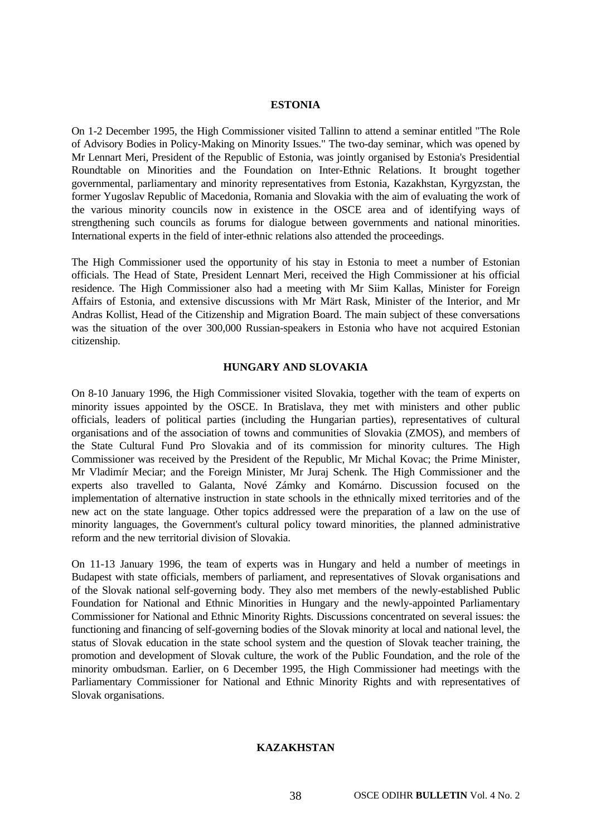#### **ESTONIA**

On 1-2 December 1995, the High Commissioner visited Tallinn to attend a seminar entitled "The Role of Advisory Bodies in Policy-Making on Minority Issues." The two-day seminar, which was opened by Mr Lennart Meri, President of the Republic of Estonia, was jointly organised by Estonia's Presidential Roundtable on Minorities and the Foundation on Inter-Ethnic Relations. It brought together governmental, parliamentary and minority representatives from Estonia, Kazakhstan, Kyrgyzstan, the former Yugoslav Republic of Macedonia, Romania and Slovakia with the aim of evaluating the work of the various minority councils now in existence in the OSCE area and of identifying ways of strengthening such councils as forums for dialogue between governments and national minorities. International experts in the field of inter-ethnic relations also attended the proceedings.

The High Commissioner used the opportunity of his stay in Estonia to meet a number of Estonian officials. The Head of State, President Lennart Meri, received the High Commissioner at his official residence. The High Commissioner also had a meeting with Mr Siim Kallas, Minister for Foreign Affairs of Estonia, and extensive discussions with Mr Märt Rask, Minister of the Interior, and Mr Andras Kollist, Head of the Citizenship and Migration Board. The main subject of these conversations was the situation of the over 300,000 Russian-speakers in Estonia who have not acquired Estonian citizenship.

#### **HUNGARY AND SLOVAKIA**

On 8-10 January 1996, the High Commissioner visited Slovakia, together with the team of experts on minority issues appointed by the OSCE. In Bratislava, they met with ministers and other public officials, leaders of political parties (including the Hungarian parties), representatives of cultural organisations and of the association of towns and communities of Slovakia (ZMOS), and members of the State Cultural Fund Pro Slovakia and of its commission for minority cultures. The High Commissioner was received by the President of the Republic, Mr Michal Kovac; the Prime Minister, Mr Vladimír Meciar; and the Foreign Minister, Mr Juraj Schenk. The High Commissioner and the experts also travelled to Galanta, Nové Zámky and Komárno. Discussion focused on the implementation of alternative instruction in state schools in the ethnically mixed territories and of the new act on the state language. Other topics addressed were the preparation of a law on the use of minority languages, the Government's cultural policy toward minorities, the planned administrative reform and the new territorial division of Slovakia.

On 11-13 January 1996, the team of experts was in Hungary and held a number of meetings in Budapest with state officials, members of parliament, and representatives of Slovak organisations and of the Slovak national self-governing body. They also met members of the newly-established Public Foundation for National and Ethnic Minorities in Hungary and the newly-appointed Parliamentary Commissioner for National and Ethnic Minority Rights. Discussions concentrated on several issues: the functioning and financing of self-governing bodies of the Slovak minority at local and national level, the status of Slovak education in the state school system and the question of Slovak teacher training, the promotion and development of Slovak culture, the work of the Public Foundation, and the role of the minority ombudsman. Earlier, on 6 December 1995, the High Commissioner had meetings with the Parliamentary Commissioner for National and Ethnic Minority Rights and with representatives of Slovak organisations.

#### **KAZAKHSTAN**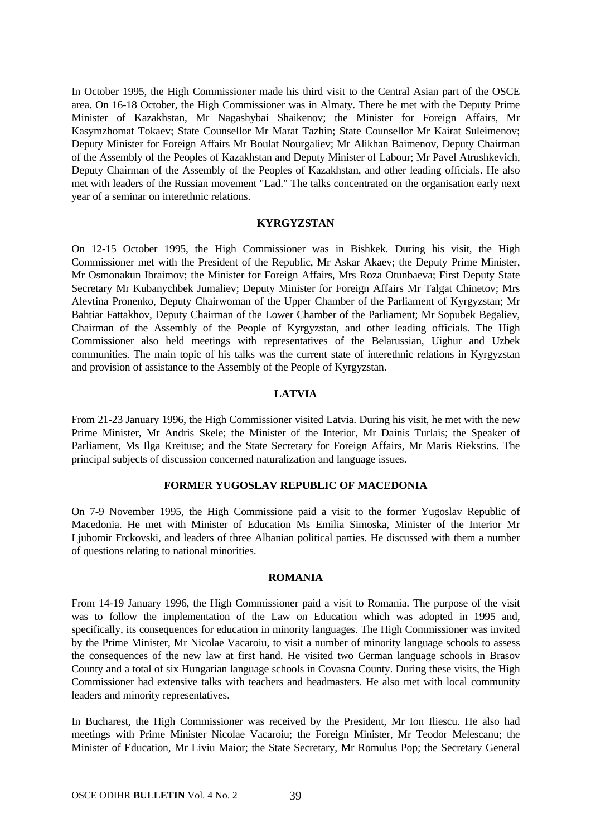In October 1995, the High Commissioner made his third visit to the Central Asian part of the OSCE area. On 16-18 October, the High Commissioner was in Almaty. There he met with the Deputy Prime Minister of Kazakhstan, Mr Nagashybai Shaikenov; the Minister for Foreign Affairs, Mr Kasymzhomat Tokaev; State Counsellor Mr Marat Tazhin; State Counsellor Mr Kairat Suleimenov; Deputy Minister for Foreign Affairs Mr Boulat Nourgaliev; Mr Alikhan Baimenov, Deputy Chairman of the Assembly of the Peoples of Kazakhstan and Deputy Minister of Labour; Mr Pavel Atrushkevich, Deputy Chairman of the Assembly of the Peoples of Kazakhstan, and other leading officials. He also met with leaders of the Russian movement "Lad." The talks concentrated on the organisation early next year of a seminar on interethnic relations.

#### **KYRGYZSTAN**

On 12-15 October 1995, the High Commissioner was in Bishkek. During his visit, the High Commissioner met with the President of the Republic, Mr Askar Akaev; the Deputy Prime Minister, Mr Osmonakun Ibraimov; the Minister for Foreign Affairs, Mrs Roza Otunbaeva; First Deputy State Secretary Mr Kubanychbek Jumaliev; Deputy Minister for Foreign Affairs Mr Talgat Chinetov; Mrs Alevtina Pronenko, Deputy Chairwoman of the Upper Chamber of the Parliament of Kyrgyzstan; Mr Bahtiar Fattakhov, Deputy Chairman of the Lower Chamber of the Parliament; Mr Sopubek Begaliev, Chairman of the Assembly of the People of Kyrgyzstan, and other leading officials. The High Commissioner also held meetings with representatives of the Belarussian, Uighur and Uzbek communities. The main topic of his talks was the current state of interethnic relations in Kyrgyzstan and provision of assistance to the Assembly of the People of Kyrgyzstan.

#### **LATVIA**

From 21-23 January 1996, the High Commissioner visited Latvia. During his visit, he met with the new Prime Minister, Mr Andris Skele; the Minister of the Interior, Mr Dainis Turlais; the Speaker of Parliament, Ms Ilga Kreituse; and the State Secretary for Foreign Affairs, Mr Maris Riekstins. The principal subjects of discussion concerned naturalization and language issues.

#### **FORMER YUGOSLAV REPUBLIC OF MACEDONIA**

On 7-9 November 1995, the High Commissione paid a visit to the former Yugoslav Republic of Macedonia. He met with Minister of Education Ms Emilia Simoska, Minister of the Interior Mr Ljubomir Frckovski, and leaders of three Albanian political parties. He discussed with them a number of questions relating to national minorities.

#### **ROMANIA**

From 14-19 January 1996, the High Commissioner paid a visit to Romania. The purpose of the visit was to follow the implementation of the Law on Education which was adopted in 1995 and, specifically, its consequences for education in minority languages. The High Commissioner was invited by the Prime Minister, Mr Nicolae Vacaroiu, to visit a number of minority language schools to assess the consequences of the new law at first hand. He visited two German language schools in Brasov County and a total of six Hungarian language schools in Covasna County. During these visits, the High Commissioner had extensive talks with teachers and headmasters. He also met with local community leaders and minority representatives.

In Bucharest, the High Commissioner was received by the President, Mr Ion Iliescu. He also had meetings with Prime Minister Nicolae Vacaroiu; the Foreign Minister, Mr Teodor Melescanu; the Minister of Education, Mr Liviu Maior; the State Secretary, Mr Romulus Pop; the Secretary General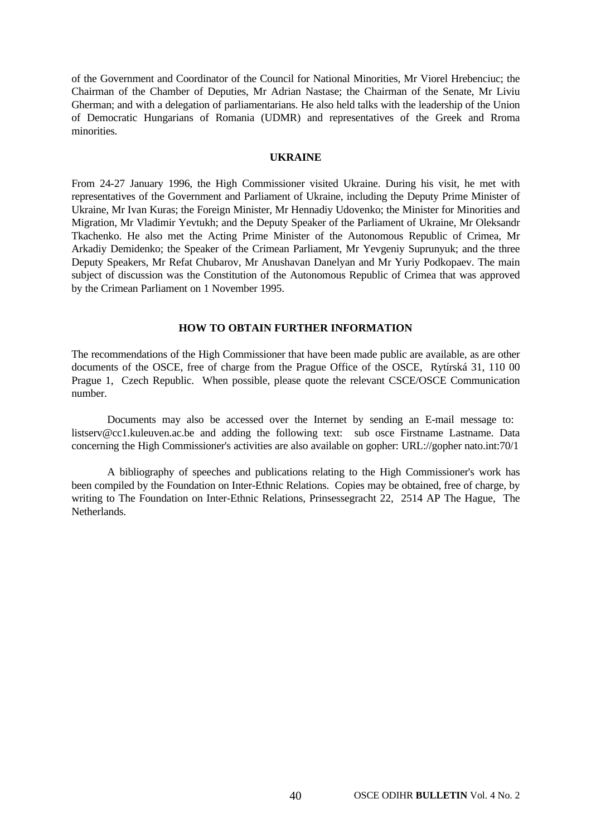of the Government and Coordinator of the Council for National Minorities, Mr Viorel Hrebenciuc; the Chairman of the Chamber of Deputies, Mr Adrian Nastase; the Chairman of the Senate, Mr Liviu Gherman; and with a delegation of parliamentarians. He also held talks with the leadership of the Union of Democratic Hungarians of Romania (UDMR) and representatives of the Greek and Rroma minorities.

#### **UKRAINE**

From 24-27 January 1996, the High Commissioner visited Ukraine. During his visit, he met with representatives of the Government and Parliament of Ukraine, including the Deputy Prime Minister of Ukraine, Mr Ivan Kuras; the Foreign Minister, Mr Hennadiy Udovenko; the Minister for Minorities and Migration, Mr Vladimir Yevtukh; and the Deputy Speaker of the Parliament of Ukraine, Mr Oleksandr Tkachenko. He also met the Acting Prime Minister of the Autonomous Republic of Crimea, Mr Arkadiy Demidenko; the Speaker of the Crimean Parliament, Mr Yevgeniy Suprunyuk; and the three Deputy Speakers, Mr Refat Chubarov, Mr Anushavan Danelyan and Mr Yuriy Podkopaev. The main subject of discussion was the Constitution of the Autonomous Republic of Crimea that was approved by the Crimean Parliament on 1 November 1995.

#### **HOW TO OBTAIN FURTHER INFORMATION**

The recommendations of the High Commissioner that have been made public are available, as are other documents of the OSCE, free of charge from the Prague Office of the OSCE, Rytírská 31, 110 00 Prague 1, Czech Republic. When possible, please quote the relevant CSCE/OSCE Communication number.

Documents may also be accessed over the Internet by sending an E-mail message to: listserv@cc1.kuleuven.ac.be and adding the following text: sub osce Firstname Lastname. Data concerning the High Commissioner's activities are also available on gopher: URL://gopher nato.int:70/1

A bibliography of speeches and publications relating to the High Commissioner's work has been compiled by the Foundation on Inter-Ethnic Relations. Copies may be obtained, free of charge, by writing to The Foundation on Inter-Ethnic Relations, Prinsessegracht 22, 2514 AP The Hague, The **Netherlands**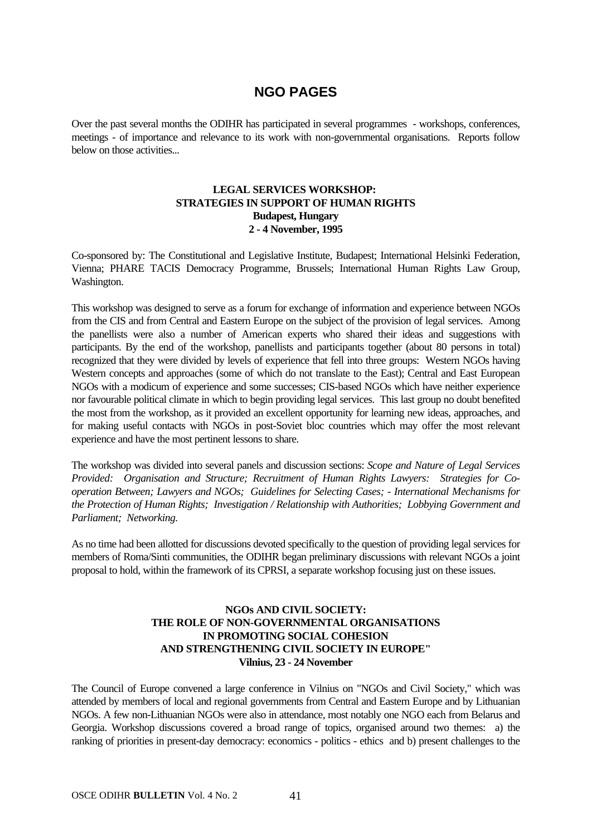## **NGO PAGES**

Over the past several months the ODIHR has participated in several programmes - workshops, conferences, meetings - of importance and relevance to its work with non-governmental organisations. Reports follow below on those activities...

#### **LEGAL SERVICES WORKSHOP: STRATEGIES IN SUPPORT OF HUMAN RIGHTS Budapest, Hungary 2 - 4 November, 1995**

Co-sponsored by: The Constitutional and Legislative Institute, Budapest; International Helsinki Federation, Vienna; PHARE TACIS Democracy Programme, Brussels; International Human Rights Law Group, Washington.

This workshop was designed to serve as a forum for exchange of information and experience between NGOs from the CIS and from Central and Eastern Europe on the subject of the provision of legal services. Among the panellists were also a number of American experts who shared their ideas and suggestions with participants. By the end of the workshop, panellists and participants together (about 80 persons in total) recognized that they were divided by levels of experience that fell into three groups: Western NGOs having Western concepts and approaches (some of which do not translate to the East); Central and East European NGOs with a modicum of experience and some successes; CIS-based NGOs which have neither experience nor favourable political climate in which to begin providing legal services. This last group no doubt benefited the most from the workshop, as it provided an excellent opportunity for learning new ideas, approaches, and for making useful contacts with NGOs in post-Soviet bloc countries which may offer the most relevant experience and have the most pertinent lessons to share.

The workshop was divided into several panels and discussion sections: *Scope and Nature of Legal Services Provided: Organisation and Structure; Recruitment of Human Rights Lawyers: Strategies for Cooperation Between; Lawyers and NGOs; Guidelines for Selecting Cases; - International Mechanisms for the Protection of Human Rights; Investigation / Relationship with Authorities; Lobbying Government and Parliament; Networking.*

As no time had been allotted for discussions devoted specifically to the question of providing legal services for members of Roma/Sinti communities, the ODIHR began preliminary discussions with relevant NGOs a joint proposal to hold, within the framework of its CPRSI, a separate workshop focusing just on these issues.

#### **NGOs AND CIVIL SOCIETY: THE ROLE OF NON-GOVERNMENTAL ORGANISATIONS IN PROMOTING SOCIAL COHESION AND STRENGTHENING CIVIL SOCIETY IN EUROPE" Vilnius, 23 - 24 November**

The Council of Europe convened a large conference in Vilnius on "NGOs and Civil Society," which was attended by members of local and regional governments from Central and Eastern Europe and by Lithuanian NGOs. A few non-Lithuanian NGOs were also in attendance, most notably one NGO each from Belarus and Georgia. Workshop discussions covered a broad range of topics, organised around two themes: a) the ranking of priorities in present-day democracy: economics - politics - ethics and b) present challenges to the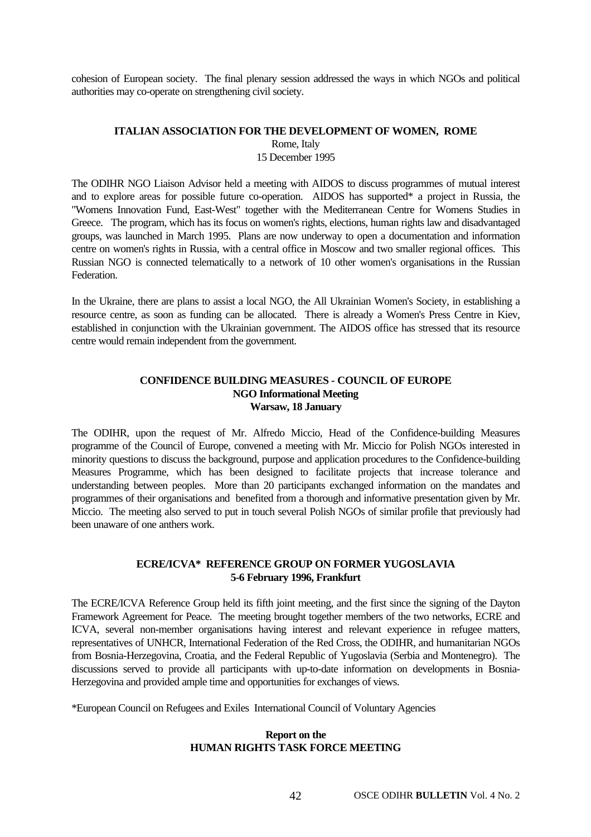cohesion of European society. The final plenary session addressed the ways in which NGOs and political authorities may co-operate on strengthening civil society.

### **ITALIAN ASSOCIATION FOR THE DEVELOPMENT OF WOMEN, ROME** Rome, Italy

15 December 1995

The ODIHR NGO Liaison Advisor held a meeting with AIDOS to discuss programmes of mutual interest and to explore areas for possible future co-operation. AIDOS has supported\* a project in Russia, the "Womens Innovation Fund, East-West" together with the Mediterranean Centre for Womens Studies in Greece. The program, which has its focus on women's rights, elections, human rights law and disadvantaged groups, was launched in March 1995. Plans are now underway to open a documentation and information centre on women's rights in Russia, with a central office in Moscow and two smaller regional offices. This Russian NGO is connected telematically to a network of 10 other women's organisations in the Russian Federation.

In the Ukraine, there are plans to assist a local NGO, the All Ukrainian Women's Society, in establishing a resource centre, as soon as funding can be allocated. There is already a Women's Press Centre in Kiev, established in conjunction with the Ukrainian government. The AIDOS office has stressed that its resource centre would remain independent from the government.

#### **CONFIDENCE BUILDING MEASURES - COUNCIL OF EUROPE NGO Informational Meeting Warsaw, 18 January**

The ODIHR, upon the request of Mr. Alfredo Miccio, Head of the Confidence-building Measures programme of the Council of Europe, convened a meeting with Mr. Miccio for Polish NGOs interested in minority questions to discuss the background, purpose and application procedures to the Confidence-building Measures Programme, which has been designed to facilitate projects that increase tolerance and understanding between peoples. More than 20 participants exchanged information on the mandates and programmes of their organisations and benefited from a thorough and informative presentation given by Mr. Miccio. The meeting also served to put in touch several Polish NGOs of similar profile that previously had been unaware of one anthers work.

#### **ECRE/ICVA\* REFERENCE GROUP ON FORMER YUGOSLAVIA 5-6 February 1996, Frankfurt**

The ECRE/ICVA Reference Group held its fifth joint meeting, and the first since the signing of the Dayton Framework Agreement for Peace. The meeting brought together members of the two networks, ECRE and ICVA, several non-member organisations having interest and relevant experience in refugee matters, representatives of UNHCR, International Federation of the Red Cross, the ODIHR, and humanitarian NGOs from Bosnia-Herzegovina, Croatia, and the Federal Republic of Yugoslavia (Serbia and Montenegro). The discussions served to provide all participants with up-to-date information on developments in Bosnia-Herzegovina and provided ample time and opportunities for exchanges of views.

\*European Council on Refugees and Exiles International Council of Voluntary Agencies

#### **Report on the HUMAN RIGHTS TASK FORCE MEETING**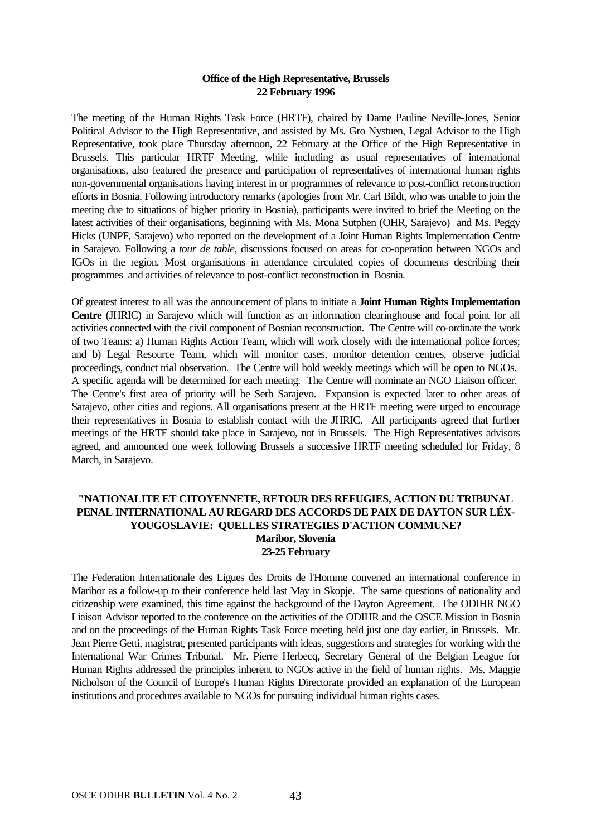#### **Office of the High Representative, Brussels 22 February 1996**

The meeting of the Human Rights Task Force (HRTF), chaired by Dame Pauline Neville-Jones, Senior Political Advisor to the High Representative, and assisted by Ms. Gro Nystuen, Legal Advisor to the High Representative, took place Thursday afternoon, 22 February at the Office of the High Representative in Brussels. This particular HRTF Meeting, while including as usual representatives of international organisations, also featured the presence and participation of representatives of international human rights non-governmental organisations having interest in or programmes of relevance to post-conflict reconstruction efforts in Bosnia. Following introductory remarks (apologies from Mr. Carl Bildt, who was unable to join the meeting due to situations of higher priority in Bosnia), participants were invited to brief the Meeting on the latest activities of their organisations, beginning with Ms. Mona Sutphen (OHR, Sarajevo) and Ms. Peggy Hicks (UNPF, Sarajevo) who reported on the development of a Joint Human Rights Implementation Centre in Sarajevo. Following a *tour de table*, discussions focused on areas for co-operation between NGOs and IGOs in the region. Most organisations in attendance circulated copies of documents describing their programmes and activities of relevance to post-conflict reconstruction in Bosnia.

Of greatest interest to all was the announcement of plans to initiate a **Joint Human Rights Implementation Centre** (JHRIC) in Sarajevo which will function as an information clearinghouse and focal point for all activities connected with the civil component of Bosnian reconstruction. The Centre will co-ordinate the work of two Teams: a) Human Rights Action Team, which will work closely with the international police forces; and b) Legal Resource Team, which will monitor cases, monitor detention centres, observe judicial proceedings, conduct trial observation. The Centre will hold weekly meetings which will be open to NGOs. A specific agenda will be determined for each meeting. The Centre will nominate an NGO Liaison officer. The Centre's first area of priority will be Serb Sarajevo. Expansion is expected later to other areas of Sarajevo, other cities and regions. All organisations present at the HRTF meeting were urged to encourage their representatives in Bosnia to establish contact with the JHRIC. All participants agreed that further meetings of the HRTF should take place in Sarajevo, not in Brussels. The High Representatives advisors agreed, and announced one week following Brussels a successive HRTF meeting scheduled for Friday, 8 March, in Sarajevo.

#### **"NATIONALITE ET CITOYENNETE, RETOUR DES REFUGIES, ACTION DU TRIBUNAL PENAL INTERNATIONAL AU REGARD DES ACCORDS DE PAIX DE DAYTON SUR LÉX-YOUGOSLAVIE: QUELLES STRATEGIES D'ACTION COMMUNE? Maribor, Slovenia 23-25 February**

The Federation Internationale des Ligues des Droits de l'Homme convened an international conference in Maribor as a follow-up to their conference held last May in Skopje. The same questions of nationality and citizenship were examined, this time against the background of the Dayton Agreement. The ODIHR NGO Liaison Advisor reported to the conference on the activities of the ODIHR and the OSCE Mission in Bosnia and on the proceedings of the Human Rights Task Force meeting held just one day earlier, in Brussels. Mr. Jean Pierre Getti, magistrat, presented participants with ideas, suggestions and strategies for working with the International War Crimes Tribunal. Mr. Pierre Herbecq, Secretary General of the Belgian League for Human Rights addressed the principles inherent to NGOs active in the field of human rights. Ms. Maggie Nicholson of the Council of Europe's Human Rights Directorate provided an explanation of the European institutions and procedures available to NGOs for pursuing individual human rights cases.